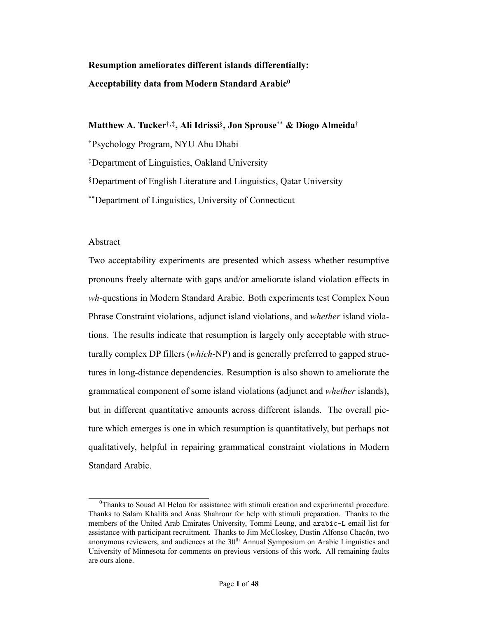# **Resumption ameliorates different islands differentially: Acceptability data from Modern Standard Arabic**<sup>0</sup>

**Matthew A. Tucker**†,‡ **, Ali Idrissi**§ **, Jon Sprouse**\*\* **& Diogo Almeida**†

†Psychology Program, NYU Abu Dhabi

‡Department of Linguistics, Oakland University

§Department of English Literature and Linguistics, Qatar University

\*\*Department of Linguistics, University of Connecticut

### Abstract

Two acceptability experiments are presented which assess whether resumptive pronouns freely alternate with gaps and/or ameliorate island violation effects in *wh-*questions in Modern Standard Arabic. Both experiments test Complex Noun Phrase Constraint violations, adjunct island violations, and *whether* island violations. The results indicate that resumption is largely only acceptable with structurally complex DP fillers (*which*-NP) and is generally preferred to gapped structures in long-distance dependencies. Resumption is also shown to ameliorate the grammatical component of some island violations (adjunct and *whether* islands), but in different quantitative amounts across different islands. The overall picture which emerges is one in which resumption is quantitatively, but perhaps not qualitatively, helpful in repairing grammatical constraint violations in Modern Standard Arabic.

<sup>0</sup>Thanks to Souad Al Helou for assistance with stimuli creation and experimental procedure. Thanks to Salam Khalifa and Anas Shahrour for help with stimuli preparation. Thanks to the members of the United Arab Emirates University, Tommi Leung, and arabic-L email list for assistance with participant recruitment. Thanks to Jim McCloskey, Dustin Alfonso Chacón, two anonymous reviewers, and audiences at the  $30<sup>th</sup>$  Annual Symposium on Arabic Linguistics and University of Minnesota for comments on previous versions of this work. All remaining faults are ours alone.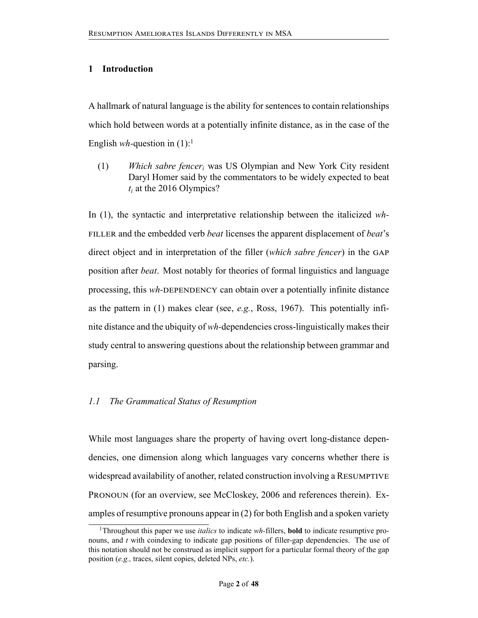### **1 Introduction**

A hallmark of natural language is the ability for sentences to contain relationships which hold between words at a potentially infinite distance, as in the case of the English *wh-*question in (1):<sup>1</sup>

(1) *Which sabre fencer<sup>i</sup>* was US Olympian and New York City resident Daryl Homer said by the commentators to be widely expected to beat  $t_i$  at the 2016 Olympics?

In (1), the syntactic and interpretative relationship between the italicized *wh*filler and the embedded verb *beat* licenses the apparent displacement of *beat*'s direct object and in interpretation of the filler (*which sabre fencer*) in the gap position after *beat*. Most notably for theories of formal linguistics and language processing, this *wh-DEPENDENCY* can obtain over a potentially infinite distance as the pattern in (1) makes clear (see, *e.g.*, Ross, 1967). This potentially infinite distance and the ubiquity of *wh-*dependencies cross-linguistically makes their study central to answering questions about the relationship between grammar and parsing.

### *1.1 The Grammatical Status of Resumption*

While most languages share the property of having overt long-distance dependencies, one dimension along which languages vary concerns whether there is widespread availability of another, related construction involving a RESUMPTIVE Pronoun (for an overview, see McCloskey, 2006 and references therein). Examples of resumptive pronouns appear in (2) for both English and a spoken variety

<sup>1</sup>Throughout this paper we use *italics* to indicate *wh-*fillers, **bold** to indicate resumptive pronouns, and *t* with coindexing to indicate gap positions of filler-gap dependencies. The use of this notation should not be construed as implicit support for a particular formal theory of the gap position (*e.g.,* traces, silent copies, deleted NPs, *etc.*).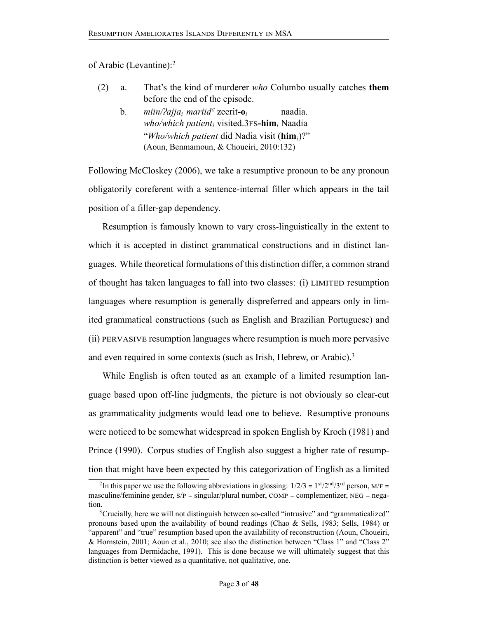### of Arabic (Levantine):<sup>2</sup>

- (2) a. That's the kind of murderer *who* Columbo usually catches **them** before the end of the episode.
	- b. *miin/ʔajja<sup>i</sup> mariidˤ* zeerit**-o***<sup>i</sup> who/which patient<sup>i</sup>* visited.3fs**-him***<sup>i</sup>* Naadia naadia. "*Who/which patient* did Nadia visit (**him***i*)?" (Aoun, Benmamoun, & Choueiri, 2010:132)

Following McCloskey (2006), we take a resumptive pronoun to be any pronoun obligatorily coreferent with a sentence-internal filler which appears in the tail position of a filler-gap dependency.

Resumption is famously known to vary cross-linguistically in the extent to which it is accepted in distinct grammatical constructions and in distinct languages. While theoretical formulations of this distinction differ, a common strand of thought has taken languages to fall into two classes: (i) LIMITED resumption languages where resumption is generally dispreferred and appears only in limited grammatical constructions (such as English and Brazilian Portuguese) and (ii) pervasive resumption languages where resumption is much more pervasive and even required in some contexts (such as Irish, Hebrew, or Arabic).<sup>3</sup>

While English is often touted as an example of a limited resumption language based upon off-line judgments, the picture is not obviously so clear-cut as grammaticality judgments would lead one to believe. Resumptive pronouns were noticed to be somewhat widespread in spoken English by Kroch (1981) and Prince (1990). Corpus studies of English also suggest a higher rate of resumption that might have been expected by this categorization of English as a limited

<sup>&</sup>lt;sup>2</sup>In this paper we use the following abbreviations in glossing:  $1/2/3 = 1<sup>st</sup>/2<sup>nd</sup>/3<sup>rd</sup>$  person,  $M/F =$ masculine/feminine gender,  $S/P = \frac{\text{singular}}{\text{plural number}}$ ,  $\text{COMP} = \text{complementizer}$ ,  $\text{NEG} = \text{nega}$ tion.

<sup>&</sup>lt;sup>3</sup>Crucially, here we will not distinguish between so-called "intrusive" and "grammaticalized" pronouns based upon the availability of bound readings (Chao & Sells, 1983; Sells, 1984) or "apparent" and "true" resumption based upon the availability of reconstruction (Aoun, Choueiri, & Hornstein, 2001; Aoun et al., 2010; see also the distinction between "Class 1" and "Class 2" languages from Dermidache, 1991). This is done because we will ultimately suggest that this distinction is better viewed as a quantitative, not qualitative, one.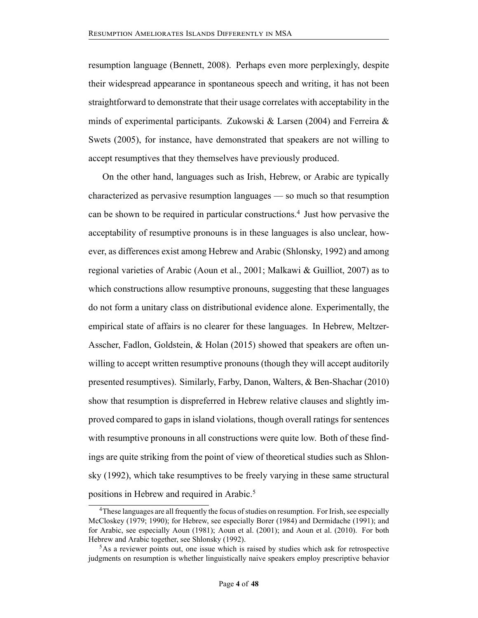resumption language (Bennett, 2008). Perhaps even more perplexingly, despite their widespread appearance in spontaneous speech and writing, it has not been straightforward to demonstrate that their usage correlates with acceptability in the minds of experimental participants. Zukowski & Larsen (2004) and Ferreira & Swets (2005), for instance, have demonstrated that speakers are not willing to accept resumptives that they themselves have previously produced.

On the other hand, languages such as Irish, Hebrew, or Arabic are typically characterized as pervasive resumption languages — so much so that resumption can be shown to be required in particular constructions.<sup>4</sup> Just how pervasive the acceptability of resumptive pronouns is in these languages is also unclear, however, as differences exist among Hebrew and Arabic (Shlonsky, 1992) and among regional varieties of Arabic (Aoun et al., 2001; Malkawi & Guilliot, 2007) as to which constructions allow resumptive pronouns, suggesting that these languages do not form a unitary class on distributional evidence alone. Experimentally, the empirical state of affairs is no clearer for these languages. In Hebrew, Meltzer-Asscher, Fadlon, Goldstein, & Holan (2015) showed that speakers are often unwilling to accept written resumptive pronouns (though they will accept auditorily presented resumptives). Similarly, Farby, Danon, Walters, & Ben-Shachar (2010) show that resumption is dispreferred in Hebrew relative clauses and slightly improved compared to gaps in island violations, though overall ratings for sentences with resumptive pronouns in all constructions were quite low. Both of these findings are quite striking from the point of view of theoretical studies such as Shlonsky (1992), which take resumptives to be freely varying in these same structural positions in Hebrew and required in Arabic.<sup>5</sup>

<sup>4</sup>These languages are all frequently the focus of studies on resumption. For Irish, see especially McCloskey (1979; 1990); for Hebrew, see especially Borer (1984) and Dermidache (1991); and for Arabic, see especially Aoun (1981); Aoun et al. (2001); and Aoun et al. (2010). For both Hebrew and Arabic together, see Shlonsky (1992).

<sup>&</sup>lt;sup>5</sup>As a reviewer points out, one issue which is raised by studies which ask for retrospective judgments on resumption is whether linguistically naive speakers employ prescriptive behavior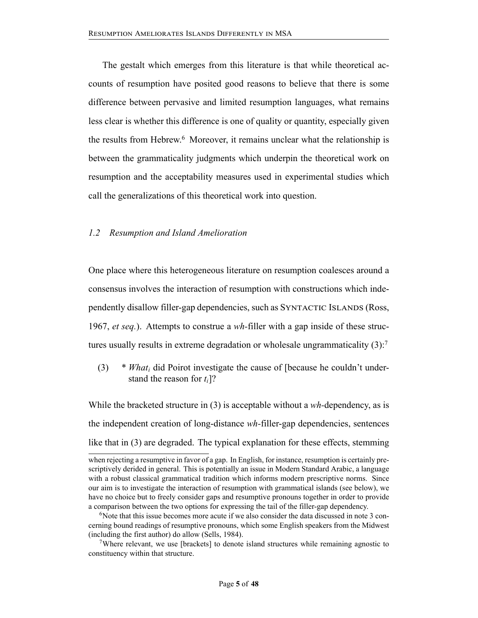The gestalt which emerges from this literature is that while theoretical accounts of resumption have posited good reasons to believe that there is some difference between pervasive and limited resumption languages, what remains less clear is whether this difference is one of quality or quantity, especially given the results from Hebrew.<sup>6</sup> Moreover, it remains unclear what the relationship is between the grammaticality judgments which underpin the theoretical work on resumption and the acceptability measures used in experimental studies which call the generalizations of this theoretical work into question.

### *1.2 Resumption and Island Amelioration*

One place where this heterogeneous literature on resumption coalesces around a consensus involves the interaction of resumption with constructions which independently disallow filler-gap dependencies, such as SYNTACTIC ISLANDS (Ross, 1967, *et seq.*). Attempts to construe a *wh-*filler with a gap inside of these structures usually results in extreme degradation or wholesale ungrammaticality  $(3)$ :<sup>7</sup>

(3) \* *What<sup>i</sup>* did Poirot investigate the cause of [because he couldn't understand the reason for *ti*]?

While the bracketed structure in (3) is acceptable without a *wh-*dependency, as is the independent creation of long-distance *wh-*filler-gap dependencies, sentences like that in (3) are degraded. The typical explanation for these effects, stemming

when rejecting a resumptive in favor of a gap. In English, for instance, resumption is certainly prescriptively derided in general. This is potentially an issue in Modern Standard Arabic, a language with a robust classical grammatical tradition which informs modern prescriptive norms. Since our aim is to investigate the interaction of resumption with grammatical islands (see below), we have no choice but to freely consider gaps and resumptive pronouns together in order to provide a comparison between the two options for expressing the tail of the filler-gap dependency.

 $6N$  Note that this issue becomes more acute if we also consider the data discussed in note 3 concerning bound readings of resumptive pronouns, which some English speakers from the Midwest (including the first author) do allow (Sells, 1984).

<sup>7</sup>Where relevant, we use [brackets] to denote island structures while remaining agnostic to constituency within that structure.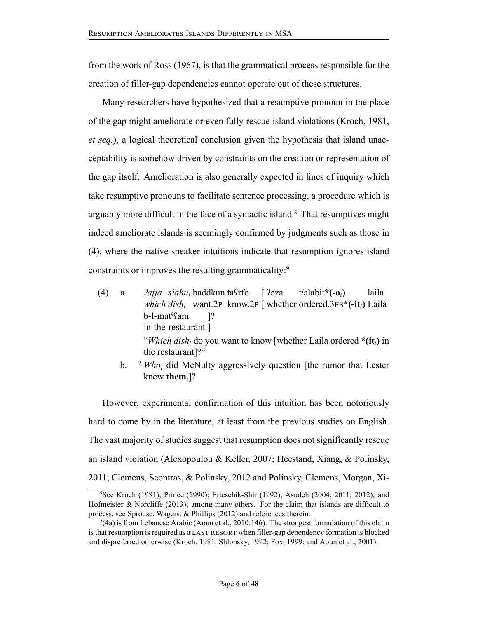from the work of Ross (1967), is that the grammatical process responsible for the creation of filler-gap dependencies cannot operate out of these structures.

Many researchers have hypothesized that a resumptive pronoun in the place of the gap might ameliorate or even fully rescue island violations (Kroch, 1981, *et seq.*), a logical theoretical conclusion given the hypothesis that island unacceptability is somehow driven by constraints on the creation or representation of the gap itself. Amelioration is also generally expected in lines of inquiry which take resumptive pronouns to facilitate sentence processing, a procedure which is arguably more difficult in the face of a syntactic island.<sup>8</sup> That resumptives might indeed ameliorate islands is seemingly confirmed by judgments such as those in (4), where the native speaker intuitions indicate that resumption ignores island constraints or improves the resulting grammaticality:<sup>9</sup>

- (4) a. *ʔajja sˤaħn<sup>i</sup>* baddkun taʕrfo which  $dish_i$  want.2p know.2p [ whether ordered.3FS<sup>\*</sup>(-it<sub>*i*</sub>)</sub> Laila [ ʔəza tˤalabit**\*(-o***i***)** laila b-l-matˤʕam in-the-restaurant ] ]? "*Which dish<sup>i</sup>* do you want to know [whether Laila ordered **\*(it***i***)** in the restaurant]?"
	- b. ? *Who<sup>i</sup>* did McNulty aggressively question [the rumor that Lester knew **them***i*]?

However, experimental confirmation of this intuition has been notoriously hard to come by in the literature, at least from the previous studies on English. The vast majority of studies suggest that resumption does not significantly rescue an island violation (Alexopoulou & Keller, 2007; Heestand, Xiang, & Polinsky, 2011; Clemens, Scontras, & Polinsky, 2012 and Polinsky, Clemens, Morgan, Xi-

<sup>&</sup>lt;sup>8</sup>See Kroch (1981); Prince (1990); Erteschik-Shir (1992); Asudeh (2004; 2011; 2012); and Hofmeister & Norcliffe (2013); among many others. For the claim that islands are difficult to process, see Sprouse, Wagers, & Phillips (2012) and references therein.

 $9(4a)$  is from Lebanese Arabic (Aoun et al., 2010:146). The strongest formulation of this claim is that resumption is required as a LAST RESORT when filler-gap dependency formation is blocked and dispreferred otherwise (Kroch, 1981; Shlonsky, 1992; Fox, 1999; and Aoun et al., 2001).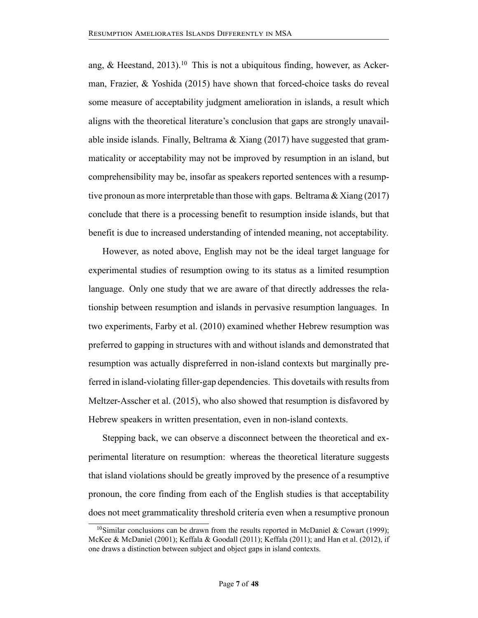ang,  $\&$  Heestand, 2013).<sup>10</sup> This is not a ubiquitous finding, however, as Ackerman, Frazier, & Yoshida (2015) have shown that forced-choice tasks do reveal some measure of acceptability judgment amelioration in islands, a result which aligns with the theoretical literature's conclusion that gaps are strongly unavailable inside islands. Finally, Beltrama  $\&$  Xiang (2017) have suggested that grammaticality or acceptability may not be improved by resumption in an island, but comprehensibility may be, insofar as speakers reported sentences with a resumptive pronoun as more interpretable than those with gaps. Beltrama  $\&$  Xiang (2017) conclude that there is a processing benefit to resumption inside islands, but that benefit is due to increased understanding of intended meaning, not acceptability.

However, as noted above, English may not be the ideal target language for experimental studies of resumption owing to its status as a limited resumption language. Only one study that we are aware of that directly addresses the relationship between resumption and islands in pervasive resumption languages. In two experiments, Farby et al. (2010) examined whether Hebrew resumption was preferred to gapping in structures with and without islands and demonstrated that resumption was actually dispreferred in non-island contexts but marginally preferred in island-violating filler-gap dependencies. This dovetails with results from Meltzer-Asscher et al. (2015), who also showed that resumption is disfavored by Hebrew speakers in written presentation, even in non-island contexts.

Stepping back, we can observe a disconnect between the theoretical and experimental literature on resumption: whereas the theoretical literature suggests that island violations should be greatly improved by the presence of a resumptive pronoun, the core finding from each of the English studies is that acceptability does not meet grammaticality threshold criteria even when a resumptive pronoun

<sup>&</sup>lt;sup>10</sup>Similar conclusions can be drawn from the results reported in McDaniel & Cowart (1999); McKee & McDaniel (2001); Keffala & Goodall (2011); Keffala (2011); and Han et al. (2012), if one draws a distinction between subject and object gaps in island contexts.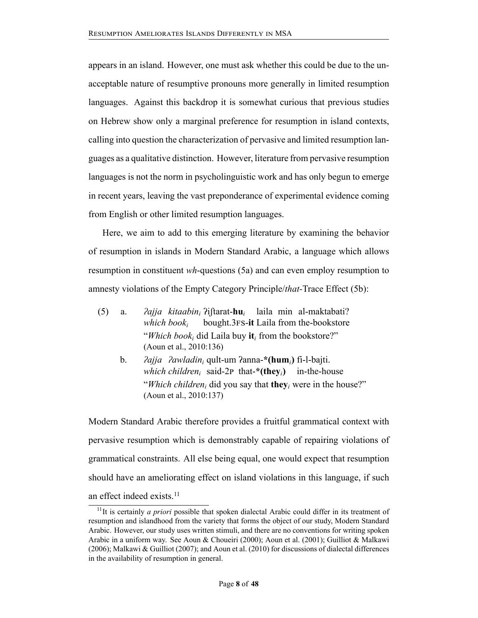appears in an island. However, one must ask whether this could be due to the unacceptable nature of resumptive pronouns more generally in limited resumption languages. Against this backdrop it is somewhat curious that previous studies on Hebrew show only a marginal preference for resumption in island contexts, calling into question the characterization of pervasive and limited resumption languages as a qualitative distinction. However, literature from pervasive resumption languages is not the norm in psycholinguistic work and has only begun to emerge in recent years, leaving the vast preponderance of experimental evidence coming from English or other limited resumption languages.

Here, we aim to add to this emerging literature by examining the behavior of resumption in islands in Modern Standard Arabic, a language which allows resumption in constituent *wh*-questions (5a) and can even employ resumption to amnesty violations of the Empty Category Principle/*that-*Trace Effect (5b):

- (5) a. *ʔajja kitaabin<sup>i</sup>* ʔiʃtarat-**hu***<sup>i</sup> which book<sup>i</sup>* bought.3FS-it Laila from the-bookstore laila min al-maktabati? "*Which book<sup>i</sup>* did Laila buy **it***<sup>i</sup>* from the bookstore?" (Aoun et al., 2010:136)
	- b. *ʔajja ʔawladin<sup>i</sup>* qult-um ʔanna-**\*(hum***i***)** fi-l-bajti. *which children<sup>i</sup>* said-2p that-**\*(they***i***)** in-the-house "*Which children<sup>i</sup>* did you say that **they***<sup>i</sup>* were in the house?" (Aoun et al., 2010:137)

Modern Standard Arabic therefore provides a fruitful grammatical context with pervasive resumption which is demonstrably capable of repairing violations of grammatical constraints. All else being equal, one would expect that resumption should have an ameliorating effect on island violations in this language, if such an effect indeed exists.<sup>11</sup>

<sup>&</sup>lt;sup>11</sup>It is certainly *a priori* possible that spoken dialectal Arabic could differ in its treatment of resumption and islandhood from the variety that forms the object of our study, Modern Standard Arabic. However, our study uses written stimuli, and there are no conventions for writing spoken Arabic in a uniform way. See Aoun & Choueiri (2000); Aoun et al. (2001); Guilliot & Malkawi (2006); Malkawi & Guilliot (2007); and Aoun et al. (2010) for discussions of dialectal differences in the availability of resumption in general.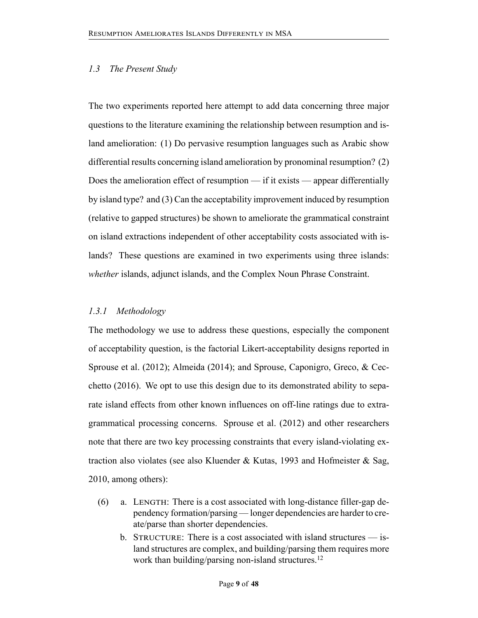# *1.3 The Present Study*

The two experiments reported here attempt to add data concerning three major questions to the literature examining the relationship between resumption and island amelioration: (1) Do pervasive resumption languages such as Arabic show differential results concerning island amelioration by pronominal resumption? (2) Does the amelioration effect of resumption — if it exists — appear differentially by island type? and (3) Can the acceptability improvement induced by resumption (relative to gapped structures) be shown to ameliorate the grammatical constraint on island extractions independent of other acceptability costs associated with islands? These questions are examined in two experiments using three islands: *whether* islands, adjunct islands, and the Complex Noun Phrase Constraint.

### *1.3.1 Methodology*

The methodology we use to address these questions, especially the component of acceptability question, is the factorial Likert-acceptability designs reported in Sprouse et al. (2012); Almeida (2014); and Sprouse, Caponigro, Greco, & Cecchetto (2016). We opt to use this design due to its demonstrated ability to separate island effects from other known influences on off-line ratings due to extragrammatical processing concerns. Sprouse et al. (2012) and other researchers note that there are two key processing constraints that every island-violating extraction also violates (see also Kluender & Kutas, 1993 and Hofmeister & Sag, 2010, among others):

- $(6)$  a. LENGTH: There is a cost associated with long-distance filler-gap dependency formation/parsing — longer dependencies are harder to create/parse than shorter dependencies.
	- b. STRUCTURE: There is a cost associated with island structures island structures are complex, and building/parsing them requires more work than building/parsing non-island structures.<sup>12</sup>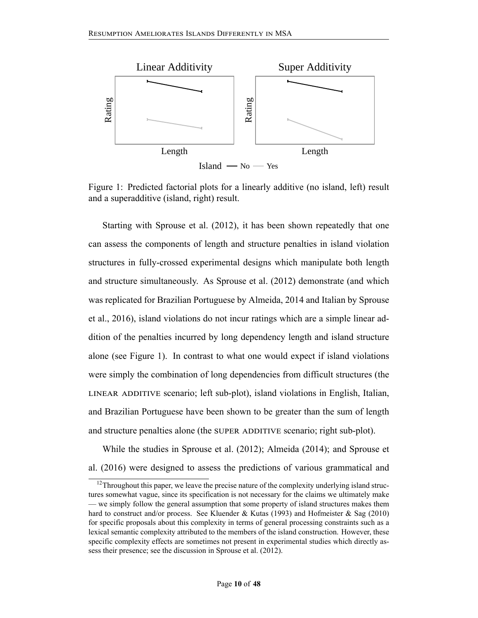

Figure 1: Predicted factorial plots for a linearly additive (no island, left) result and a superadditive (island, right) result.

Starting with Sprouse et al. (2012), it has been shown repeatedly that one can assess the components of length and structure penalties in island violation structures in fully-crossed experimental designs which manipulate both length and structure simultaneously. As Sprouse et al. (2012) demonstrate (and which was replicated for Brazilian Portuguese by Almeida, 2014 and Italian by Sprouse et al., 2016), island violations do not incur ratings which are a simple linear addition of the penalties incurred by long dependency length and island structure alone (see Figure 1). In contrast to what one would expect if island violations were simply the combination of long dependencies from difficult structures (the linear additive scenario; left sub-plot), island violations in English, Italian, and Brazilian Portuguese have been shown to be greater than the sum of length and structure penalties alone (the SUPER ADDITIVE scenario; right sub-plot).

While the studies in Sprouse et al. (2012); Almeida (2014); and Sprouse et al. (2016) were designed to assess the predictions of various grammatical and

 $12$ Throughout this paper, we leave the precise nature of the complexity underlying island structures somewhat vague, since its specification is not necessary for the claims we ultimately make — we simply follow the general assumption that some property of island structures makes them hard to construct and/or process. See Kluender & Kutas (1993) and Hofmeister & Sag (2010) for specific proposals about this complexity in terms of general processing constraints such as a lexical semantic complexity attributed to the members of the island construction. However, these specific complexity effects are sometimes not present in experimental studies which directly assess their presence; see the discussion in Sprouse et al. (2012).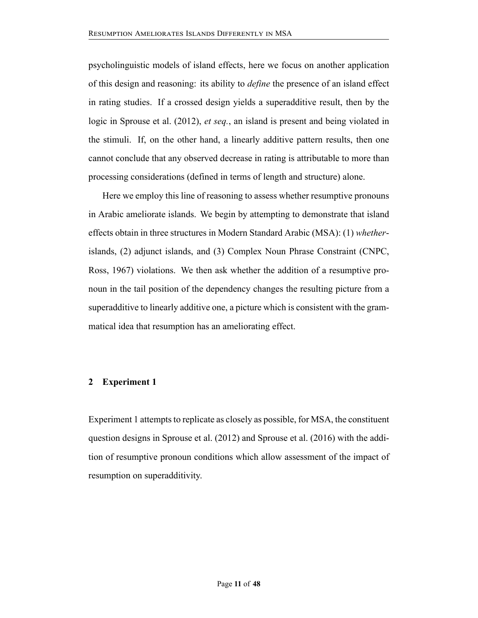psycholinguistic models of island effects, here we focus on another application of this design and reasoning: its ability to *define* the presence of an island effect in rating studies. If a crossed design yields a superadditive result, then by the logic in Sprouse et al. (2012), *et seq.*, an island is present and being violated in the stimuli. If, on the other hand, a linearly additive pattern results, then one cannot conclude that any observed decrease in rating is attributable to more than processing considerations (defined in terms of length and structure) alone.

Here we employ this line of reasoning to assess whether resumptive pronouns in Arabic ameliorate islands. We begin by attempting to demonstrate that island effects obtain in three structures in Modern Standard Arabic (MSA): (1) *whether*islands, (2) adjunct islands, and (3) Complex Noun Phrase Constraint (CNPC, Ross, 1967) violations. We then ask whether the addition of a resumptive pronoun in the tail position of the dependency changes the resulting picture from a superadditive to linearly additive one, a picture which is consistent with the grammatical idea that resumption has an ameliorating effect.

### **2 Experiment 1**

Experiment 1 attempts to replicate as closely as possible, for MSA, the constituent question designs in Sprouse et al. (2012) and Sprouse et al. (2016) with the addition of resumptive pronoun conditions which allow assessment of the impact of resumption on superadditivity.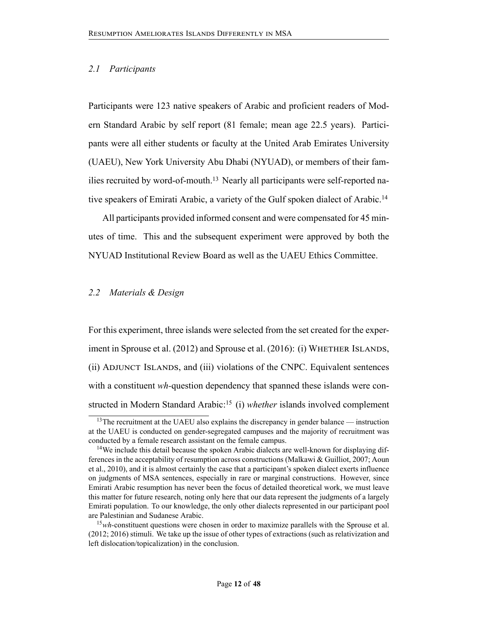#### *2.1 Participants*

Participants were 123 native speakers of Arabic and proficient readers of Modern Standard Arabic by self report (81 female; mean age 22.5 years). Participants were all either students or faculty at the United Arab Emirates University (UAEU), New York University Abu Dhabi (NYUAD), or members of their families recruited by word-of-mouth.<sup>13</sup> Nearly all participants were self-reported native speakers of Emirati Arabic, a variety of the Gulf spoken dialect of Arabic.<sup>14</sup>

All participants provided informed consent and were compensated for 45 minutes of time. This and the subsequent experiment were approved by both the NYUAD Institutional Review Board as well as the UAEU Ethics Committee.

### *2.2 Materials & Design*

For this experiment, three islands were selected from the set created for the experiment in Sprouse et al. (2012) and Sprouse et al. (2016): (i) WHETHER ISLANDS, (ii) ADJUNCT ISLANDS, and (iii) violations of the CNPC. Equivalent sentences with a constituent *wh*-question dependency that spanned these islands were constructed in Modern Standard Arabic:<sup>15</sup> (i) *whether* islands involved complement

<sup>&</sup>lt;sup>13</sup>The recruitment at the UAEU also explains the discrepancy in gender balance — instruction at the UAEU is conducted on gender-segregated campuses and the majority of recruitment was conducted by a female research assistant on the female campus.

<sup>&</sup>lt;sup>14</sup>We include this detail because the spoken Arabic dialects are well-known for displaying differences in the acceptability of resumption across constructions (Malkawi & Guilliot, 2007; Aoun et al., 2010), and it is almost certainly the case that a participant's spoken dialect exerts influence on judgments of MSA sentences, especially in rare or marginal constructions. However, since Emirati Arabic resumption has never been the focus of detailed theoretical work, we must leave this matter for future research, noting only here that our data represent the judgments of a largely Emirati population. To our knowledge, the only other dialects represented in our participant pool are Palestinian and Sudanese Arabic.

<sup>&</sup>lt;sup>15</sup>*wh*-constituent questions were chosen in order to maximize parallels with the Sprouse et al. (2012; 2016) stimuli. We take up the issue of other types of extractions (such as relativization and left dislocation/topicalization) in the conclusion.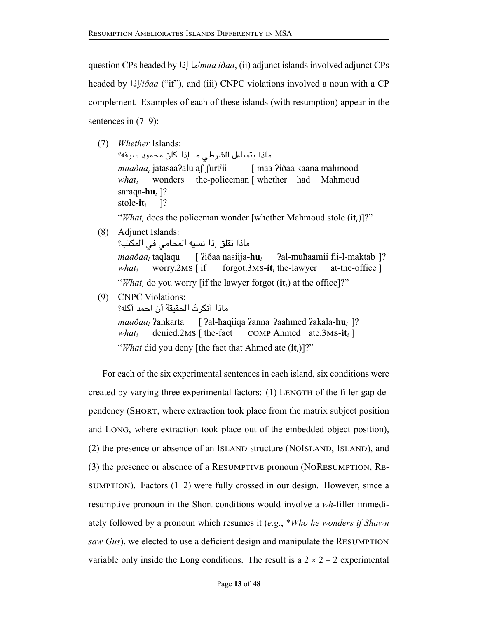question CPs headed by إزا ا٪/*maa iðaa*, (ii) adjunct islands involved adjunct CPs headed by إزا/*iðaa* ("if"), and (iii) CNPC violations involved a noun with a CP complement. Examples of each of these islands (with resumption) appear in the sentences in (7–9):

- (7) *Whether* Islands: ماذا يتساءل الشرطي ما إذا كان محمود سرقه؟ *maaðaa<sub>i</sub>* jatasaaʔalu a∫-∫urt<sup>ς</sup>ii *what<sup>i</sup>* wonders the-policeman [ whether had [ maa ʔiðaa kaana maħmood Mahmoud saraqa**-hu***<sup>i</sup>* ]? stole**-it***<sup>i</sup>* ]? "*What<sup>i</sup>* does the policeman wonder [whether Mahmoud stole (**it***i*)]?" (8) Adjunct Islands: ماذا تقلق إذا نسيه المحامی فی المكتب؟ *maaðaa<sup>i</sup>* taqlaqu [ ʔiðaa nasiija**-hu***<sup>i</sup> what<sup>i</sup>* worry.2ms [ if forgot.3ms**-it***<sup>i</sup>* the-lawyer ʔal-muħaamii fii-l-maktab ]? at-the-office ]
- (9) CNPC Violations:
	- ماذا أنكرتَ الحقيقة أن احمد أكله؟

*maaðaa<sub>i</sub>* ?ankarta [ ?al-ħaqiiqa ?anna ?aaħmed ?akala-**hu**<sub>*i*</sub> ]? *what<sup>i</sup>* denied.2ms [ the-fact comp Ahmed ate.3ms**-it***<sup>i</sup>* ] "*What* did you deny [the fact that Ahmed ate (**it***i*)]?"

"*What<sub>i</sub>* do you worry [if the lawyer forgot (it<sub>*i*</sub>) at the office]?"

For each of the six experimental sentences in each island, six conditions were created by varying three experimental factors:  $(1)$  LENGTH of the filler-gap dependency (Short, where extraction took place from the matrix subject position and Long, where extraction took place out of the embedded object position), (2) the presence or absence of an Island structure (NoIsland, Island), and (3) the presence or absence of a Resumptive pronoun (NoResumption, Resumption). Factors  $(1-2)$  were fully crossed in our design. However, since a resumptive pronoun in the Short conditions would involve a *wh-*filler immediately followed by a pronoun which resumes it (*e.g.*, \**Who he wonders if Shawn saw Gus*), we elected to use a deficient design and manipulate the Resumption variable only inside the Long conditions. The result is a  $2 \times 2 + 2$  experimental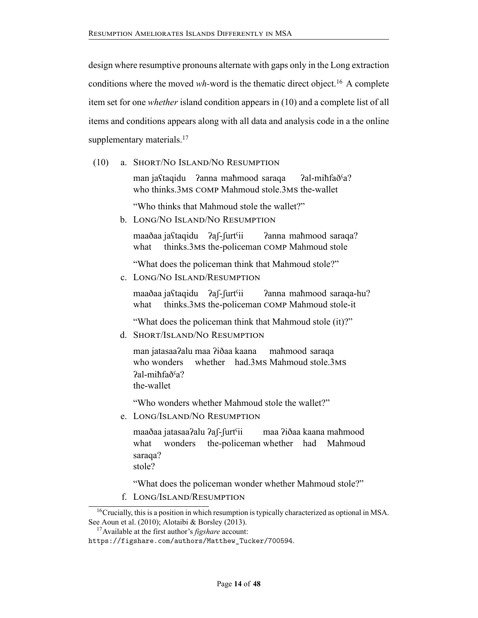design where resumptive pronouns alternate with gaps only in the Long extraction conditions where the moved *wh-*word is the thematic direct object.<sup>16</sup> A complete item set for one *whether* island condition appears in (10) and a complete list of all items and conditions appears along with all data and analysis code in a the online supplementary materials.<sup>17</sup>

(10) a. Short/No Island/No Resumption

man jastaqidu ?anna mahmood saraqa who thinks.3ms comp Mahmoud stole.3ms the-wallet ʔal-miħfaðˤa?

"Who thinks that Mahmoud stole the wallet?"

b. Long/No Island/No Resumption

maaðaa jaʕtaqidu ʔaʃ-ʃurtˤii what thinks.3ms the-policeman comp Mahmoud stole ʔanna maħmood saraqa?

"What does the policeman think that Mahmoud stole?"

c. Long/No Island/Resumption

maaðaa jaʕtaqidu ʔaʃ-ʃurtˤii what thinks.3ms the-policeman comp Mahmoud stole-it ʔanna maħmood saraqa-hu?

"What does the policeman think that Mahmoud stole (it)?"

d. Short/Island/No Resumption

man jatasaaʔalu maa ʔiðaa kaana who wonders whether had.3ms Mahmoud stole.3ms maħmood saraqa ʔal-miħfaðˤa? the-wallet

"Who wonders whether Mahmoud stole the wallet?"

e. Long/Island/No Resumption

maaðaa jatasaaʔalu ʔa∫-∫urt<sup>ς</sup>ii what wonders the-policeman whether had Mahmoud maa ʔiðaa kaana maħmood saraqa? stole?

"What does the policeman wonder whether Mahmoud stole?"

f. Long/Island/Resumption

<sup>&</sup>lt;sup>16</sup>Crucially, this is a position in which resumption is typically characterized as optional in MSA. See Aoun et al. (2010); Alotaibi & Borsley (2013).

<sup>17</sup>Available at the first author's *figshare* account: https://figshare.com/authors/Matthew\_Tucker/700594.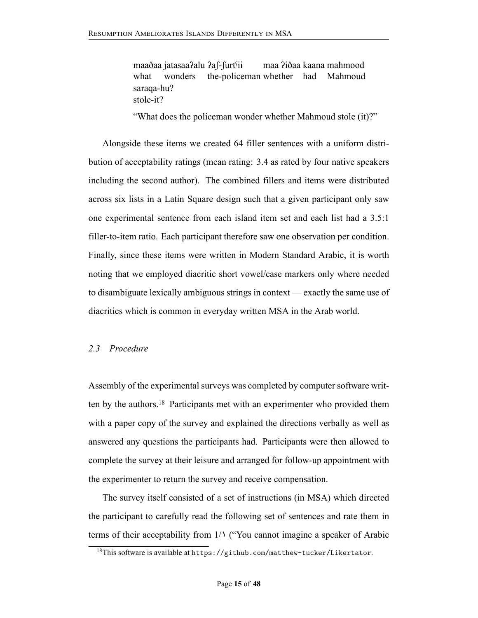maaðaa jatasaa?alu ?a∫-∫urt<sup>ς</sup>ii what wonders the-policeman whether had maa ʔiðaa kaana maħmood Mahmoud saraqa-hu? stole-it?

"What does the policeman wonder whether Mahmoud stole (it)?"

Alongside these items we created 64 filler sentences with a uniform distribution of acceptability ratings (mean rating: 3.4 as rated by four native speakers including the second author). The combined fillers and items were distributed across six lists in a Latin Square design such that a given participant only saw one experimental sentence from each island item set and each list had a 3.5:1 filler-to-item ratio. Each participant therefore saw one observation per condition. Finally, since these items were written in Modern Standard Arabic, it is worth noting that we employed diacritic short vowel/case markers only where needed to disambiguate lexically ambiguous strings in context — exactly the same use of diacritics which is common in everyday written MSA in the Arab world.

### *2.3 Procedure*

Assembly of the experimental surveys was completed by computer software written by the authors.<sup>18</sup> Participants met with an experimenter who provided them with a paper copy of the survey and explained the directions verbally as well as answered any questions the participants had. Participants were then allowed to complete the survey at their leisure and arranged for follow-up appointment with the experimenter to return the survey and receive compensation.

The survey itself consisted of a set of instructions (in MSA) which directed the participant to carefully read the following set of sentences and rate them in terms of their acceptability from 1/١ ("You cannot imagine a speaker of Arabic

<sup>&</sup>lt;sup>18</sup>This software is available at https://github.com/matthew-tucker/Likertator.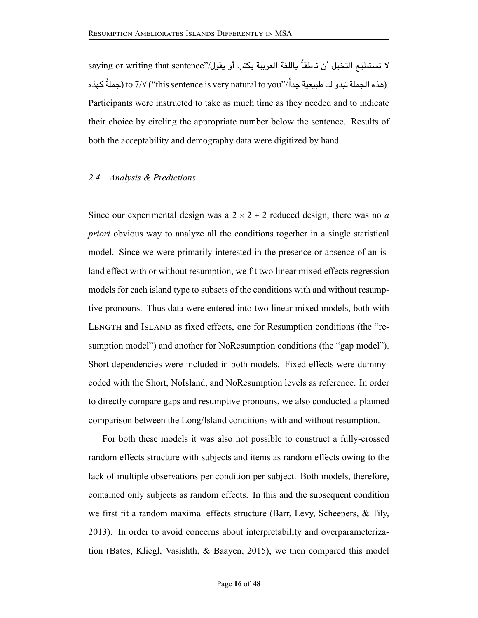لا تستطيع التخيل أن ناطقاً باللغة العربية يكتب أو يقول/'saying or writing that sentence مذه الجملة تبدو لك طبيعية جداً/''(this sentence is very natural to you). (هذه الجملةَ كهذه Participants were instructed to take as much time as they needed and to indicate their choice by circling the appropriate number below the sentence. Results of both the acceptability and demography data were digitized by hand.

#### *2.4 Analysis & Predictions*

Since our experimental design was a  $2 \times 2 + 2$  reduced design, there was no *a priori* obvious way to analyze all the conditions together in a single statistical model. Since we were primarily interested in the presence or absence of an island effect with or without resumption, we fit two linear mixed effects regression models for each island type to subsets of the conditions with and without resumptive pronouns. Thus data were entered into two linear mixed models, both with LENGTH and ISLAND as fixed effects, one for Resumption conditions (the "resumption model") and another for NoResumption conditions (the "gap model"). Short dependencies were included in both models. Fixed effects were dummycoded with the Short, NoIsland, and NoResumption levels as reference. In order to directly compare gaps and resumptive pronouns, we also conducted a planned comparison between the Long/Island conditions with and without resumption.

For both these models it was also not possible to construct a fully-crossed random effects structure with subjects and items as random effects owing to the lack of multiple observations per condition per subject. Both models, therefore, contained only subjects as random effects. In this and the subsequent condition we first fit a random maximal effects structure (Barr, Levy, Scheepers, & Tily, 2013). In order to avoid concerns about interpretability and overparameterization (Bates, Kliegl, Vasishth, & Baayen, 2015), we then compared this model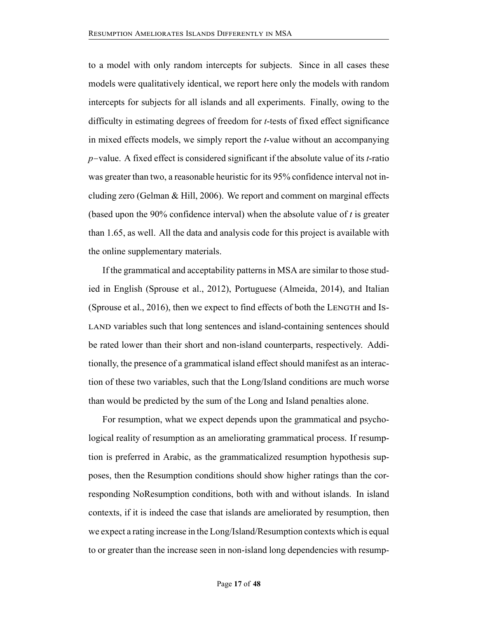to a model with only random intercepts for subjects. Since in all cases these models were qualitatively identical, we report here only the models with random intercepts for subjects for all islands and all experiments. Finally, owing to the difficulty in estimating degrees of freedom for *t*-tests of fixed effect significance in mixed effects models, we simply report the *t*-value without an accompanying *p*−value. A fixed effect is considered significant if the absolute value of its *t*-ratio was greater than two, a reasonable heuristic for its 95% confidence interval not including zero (Gelman  $&$  Hill, 2006). We report and comment on marginal effects (based upon the 90% confidence interval) when the absolute value of *t* is greater than 1.65, as well. All the data and analysis code for this project is available with the online supplementary materials.

If the grammatical and acceptability patterns in MSA are similar to those studied in English (Sprouse et al., 2012), Portuguese (Almeida, 2014), and Italian (Sprouse et al., 2016), then we expect to find effects of both the LENGTH and Island variables such that long sentences and island-containing sentences should be rated lower than their short and non-island counterparts, respectively. Additionally, the presence of a grammatical island effect should manifest as an interaction of these two variables, such that the Long/Island conditions are much worse than would be predicted by the sum of the Long and Island penalties alone.

For resumption, what we expect depends upon the grammatical and psychological reality of resumption as an ameliorating grammatical process. If resumption is preferred in Arabic, as the grammaticalized resumption hypothesis supposes, then the Resumption conditions should show higher ratings than the corresponding NoResumption conditions, both with and without islands. In island contexts, if it is indeed the case that islands are ameliorated by resumption, then we expect a rating increase in the Long/Island/Resumption contexts which is equal to or greater than the increase seen in non-island long dependencies with resump-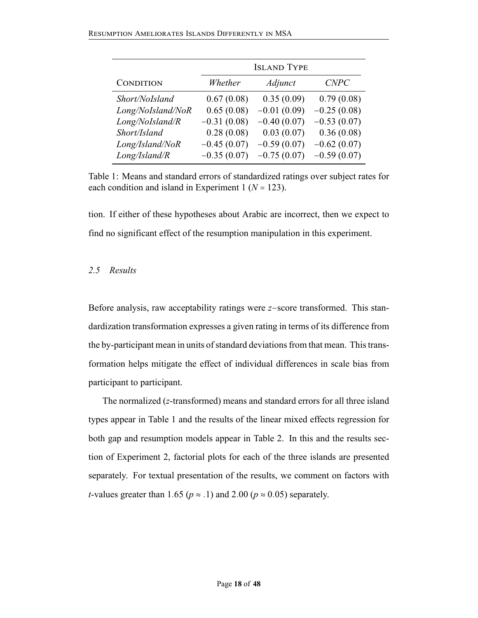|                   | <b>ISLAND TYPE</b> |               |               |
|-------------------|--------------------|---------------|---------------|
| <b>CONDITION</b>  | Whether            | Adjunct       | <b>CNPC</b>   |
| Short/NoIsland    | 0.67(0.08)         | 0.35(0.09)    | 0.79(0.08)    |
| Long/NoIsland/NoR | 0.65(0.08)         | $-0.01(0.09)$ | $-0.25(0.08)$ |
| Long/NoIsland/R   | $-0.31(0.08)$      | $-0.40(0.07)$ | $-0.53(0.07)$ |
| Short/Island      | 0.28(0.08)         | 0.03(0.07)    | 0.36(0.08)    |
| Long/Island/NoR   | $-0.45(0.07)$      | $-0.59(0.07)$ | $-0.62(0.07)$ |
| Long/Island/R     | $-0.35(0.07)$      | $-0.75(0.07)$ | $-0.59(0.07)$ |

Table 1: Means and standard errors of standardized ratings over subject rates for each condition and island in Experiment 1 (*N* = 123).

tion. If either of these hypotheses about Arabic are incorrect, then we expect to find no significant effect of the resumption manipulation in this experiment.

### *2.5 Results*

Before analysis, raw acceptability ratings were *z*−score transformed. This standardization transformation expresses a given rating in terms of its difference from the by-participant mean in units of standard deviations from that mean. This transformation helps mitigate the effect of individual differences in scale bias from participant to participant.

The normalized (*z*-transformed) means and standard errors for all three island types appear in Table 1 and the results of the linear mixed effects regression for both gap and resumption models appear in Table 2. In this and the results section of Experiment 2, factorial plots for each of the three islands are presented separately. For textual presentation of the results, we comment on factors with *t*-values greater than 1.65 ( $p \approx .1$ ) and 2.00 ( $p \approx 0.05$ ) separately.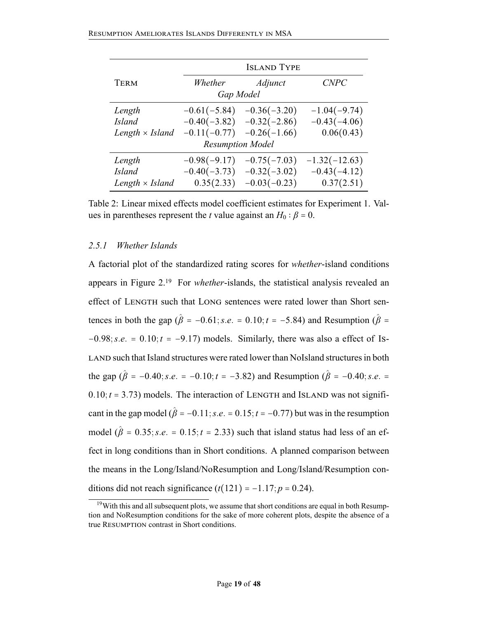|                         | <b>ISLAND TYPE</b> |                |                 |  |
|-------------------------|--------------------|----------------|-----------------|--|
| <b>TERM</b>             | Whether            | Adjunct        | $C\!$           |  |
|                         | Gap Model          |                |                 |  |
| Length                  | $-0.61(-5.84)$     | $-0.36(-3.20)$ | $-1.04(-9.74)$  |  |
| <b>Island</b>           | $-0.40(-3.82)$     | $-0.32(-2.86)$ | $-0.43(-4.06)$  |  |
| Length $\times$ Island  | $-0.11(-0.77)$     | $-0.26(-1.66)$ | 0.06(0.43)      |  |
| <b>Resumption Model</b> |                    |                |                 |  |
| Length                  | $-0.98(-9.17)$     | $-0.75(-7.03)$ | $-1.32(-12.63)$ |  |
| <i>Island</i>           | $-0.40(-3.73)$     | $-0.32(-3.02)$ | $-0.43(-4.12)$  |  |
| Length $\times$ Island  | 0.35(2.33)         | $-0.03(-0.23)$ | 0.37(2.51)      |  |

Table 2: Linear mixed effects model coefficient estimates for Experiment 1. Values in parentheses represent the *t* value against an  $H_0$  :  $\beta = 0$ .

### *2.5.1 Whether Islands*

A factorial plot of the standardized rating scores for *whether*-island conditions appears in Figure 2.<sup>19</sup> For *whether*-islands, the statistical analysis revealed an effect of LENGTH such that LONG sentences were rated lower than Short sentences in both the gap ( $\hat{\beta}$  = −0.61; *s.e.* = 0.10; *t* = −5.84) and Resumption ( $\hat{\beta}$  = −0.98;*s*.*e*. = 0.10; *t* = −9.17) models. Similarly, there was also a effect of Island such that Island structures were rated lower than NoIsland structures in both the gap ( $\hat{\beta}$  = −0.40; *s*.*e*. = −0.10; *t* = −3.82) and Resumption ( $\hat{\beta}$  = −0.40; *s.e.* =  $0.10; t = 3.73$ ) models. The interaction of LENGTH and ISLAND was not significant in the gap model ( $\hat{\beta}$  = −0.11; *s.e.* = 0.15; *t* = −0.77) but was in the resumption model ( $\hat{\beta}$  = 0.35; *s.e.* = 0.15; *t* = 2.33) such that island status had less of an effect in long conditions than in Short conditions. A planned comparison between the means in the Long/Island/NoResumption and Long/Island/Resumption conditions did not reach significance  $(t(121) = -1.17; p = 0.24)$ .

 $19$ With this and all subsequent plots, we assume that short conditions are equal in both Resumption and NoResumption conditions for the sake of more coherent plots, despite the absence of a true Resumption contrast in Short conditions.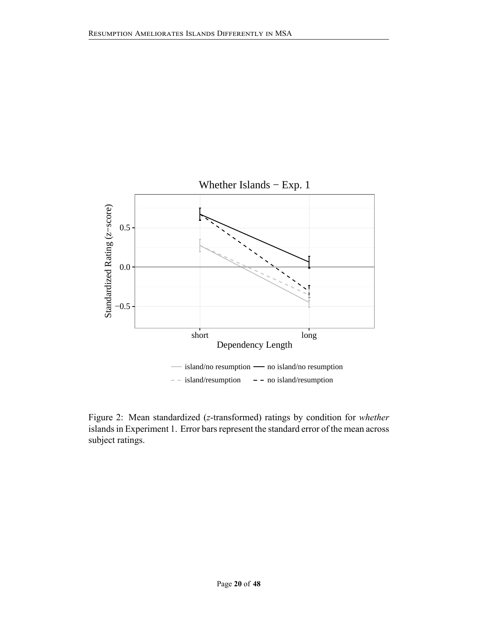

Figure 2: Mean standardized (*z*-transformed) ratings by condition for *whether* islands in Experiment 1. Error bars represent the standard error of the mean across subject ratings.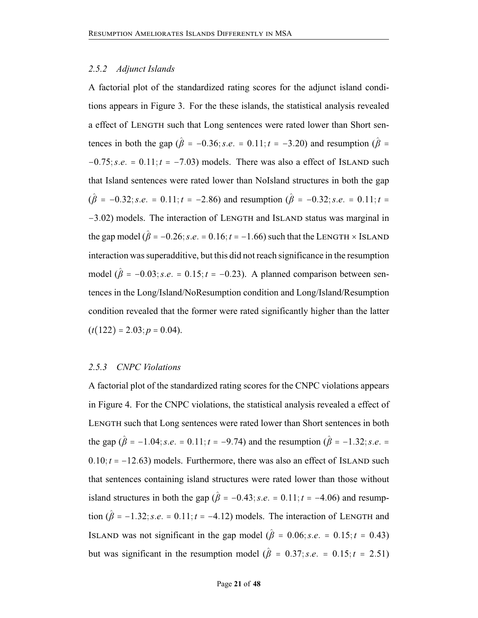### *2.5.2 Adjunct Islands*

A factorial plot of the standardized rating scores for the adjunct island conditions appears in Figure 3. For the these islands, the statistical analysis revealed a effect of LENGTH such that Long sentences were rated lower than Short sentences in both the gap ( $\hat{\beta}$  = −0.36; *s.e.* = 0.11; *t* = −3.20) and resumption ( $\hat{\beta}$  =  $-0.75$ ; *s.e.* = 0.11;  $t = -7.03$ ) models. There was also a effect of ISLAND such that Island sentences were rated lower than NoIsland structures in both the gap  $(\hat{\beta} = -0.32; \text{s.e.} = 0.11; t = -2.86)$  and resumption  $(\hat{\beta} = -0.32; \text{s.e.} = 0.11; t =$ −3.02) models. The interaction of Length and Island status was marginal in the gap model ( $\hat{\beta}$  = −0.26; *s.e.* = 0.16; *t* = −1.66) such that the LENGTH × ISLAND interaction was superadditive, but this did not reach significance in the resumption model  $(\hat{\beta} = -0.03; \text{s.e.} = 0.15; t = -0.23)$ . A planned comparison between sentences in the Long/Island/NoResumption condition and Long/Island/Resumption condition revealed that the former were rated significantly higher than the latter  $(t(122) = 2.03; p = 0.04)$ .

#### *2.5.3 CNPC Violations*

A factorial plot of the standardized rating scores for the CNPC violations appears in Figure 4. For the CNPC violations, the statistical analysis revealed a effect of LENGTH such that Long sentences were rated lower than Short sentences in both the gap ( $\hat{\beta}$  = −1.04; *s.e.* = 0.11; *t* = −9.74) and the resumption ( $\hat{\beta}$  = −1.32; *s.e.* =  $0.10$ ;  $t = -12.63$ ) models. Furthermore, there was also an effect of ISLAND such that sentences containing island structures were rated lower than those without island structures in both the gap  $(\hat{\beta} = -0.43; s.e. = 0.11; t = -4.06)$  and resumption ( $\hat{\beta}$  = −1.32; *s.e.* = 0.11; *t* = −4.12) models. The interaction of LENGTH and ISLAND was not significant in the gap model ( $\hat{\beta}$  = 0.06; *s.e.* = 0.15; *t* = 0.43) but was significant in the resumption model ( $\hat{\beta}$  = 0.37; *s.e.* = 0.15; *t* = 2.51)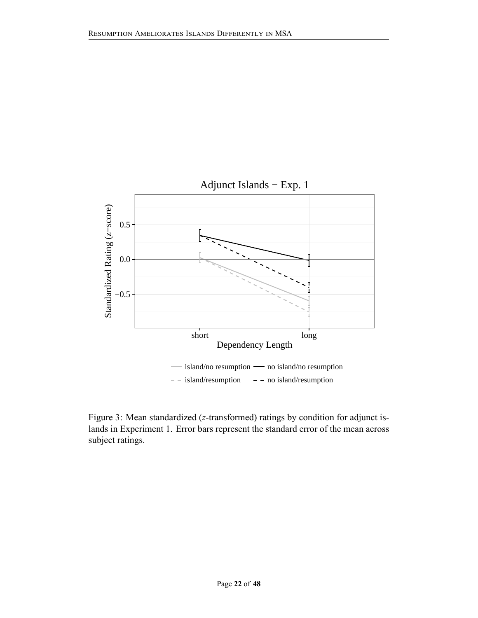

Figure 3: Mean standardized (*z*-transformed) ratings by condition for adjunct islands in Experiment 1. Error bars represent the standard error of the mean across subject ratings.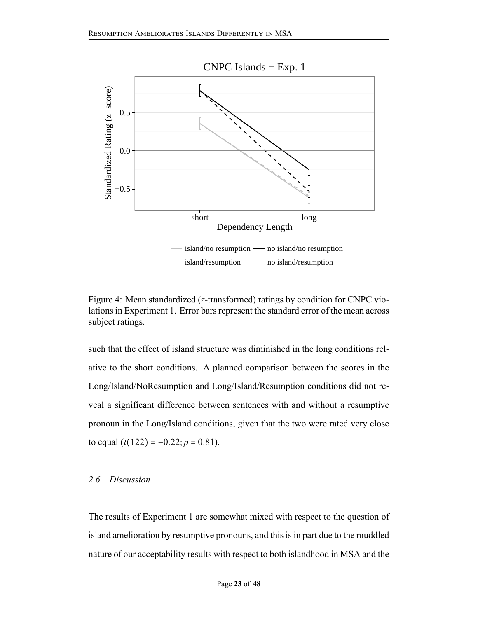

Figure 4: Mean standardized (*z*-transformed) ratings by condition for CNPC violations in Experiment 1. Error bars represent the standard error of the mean across subject ratings.

such that the effect of island structure was diminished in the long conditions relative to the short conditions. A planned comparison between the scores in the Long/Island/NoResumption and Long/Island/Resumption conditions did not reveal a significant difference between sentences with and without a resumptive pronoun in the Long/Island conditions, given that the two were rated very close to equal  $(t(122) = -0.22; p = 0.81)$ .

#### *2.6 Discussion*

The results of Experiment 1 are somewhat mixed with respect to the question of island amelioration by resumptive pronouns, and this is in part due to the muddled nature of our acceptability results with respect to both islandhood in MSA and the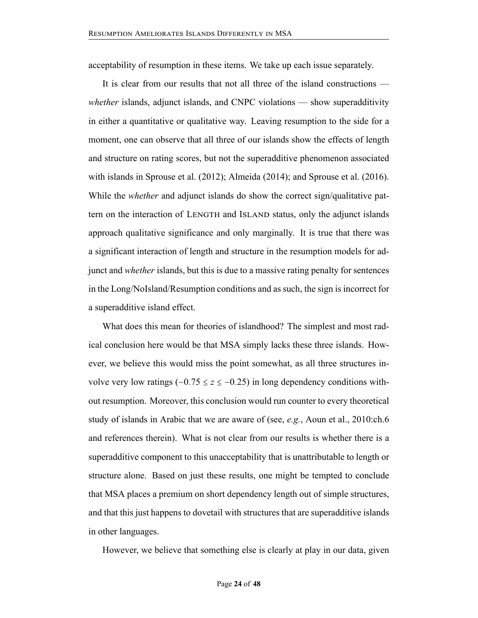acceptability of resumption in these items. We take up each issue separately.

It is clear from our results that not all three of the island constructions *whether* islands, adjunct islands, and CNPC violations — show superadditivity in either a quantitative or qualitative way. Leaving resumption to the side for a moment, one can observe that all three of our islands show the effects of length and structure on rating scores, but not the superadditive phenomenon associated with islands in Sprouse et al. (2012); Almeida (2014); and Sprouse et al. (2016). While the *whether* and adjunct islands do show the correct sign/qualitative pattern on the interaction of LENGTH and ISLAND status, only the adjunct islands approach qualitative significance and only marginally. It is true that there was a significant interaction of length and structure in the resumption models for adjunct and *whether* islands, but this is due to a massive rating penalty for sentences in the Long/NoIsland/Resumption conditions and as such, the sign is incorrect for a superadditive island effect.

What does this mean for theories of islandhood? The simplest and most radical conclusion here would be that MSA simply lacks these three islands. However, we believe this would miss the point somewhat, as all three structures involve very low ratings (−0.75 ≤ *z* ≤ −0.25) in long dependency conditions without resumption. Moreover, this conclusion would run counter to every theoretical study of islands in Arabic that we are aware of (see, *e.g.*, Aoun et al., 2010:ch.6 and references therein). What is not clear from our results is whether there is a superadditive component to this unacceptability that is unattributable to length or structure alone. Based on just these results, one might be tempted to conclude that MSA places a premium on short dependency length out of simple structures, and that this just happens to dovetail with structures that are superadditive islands in other languages.

However, we believe that something else is clearly at play in our data, given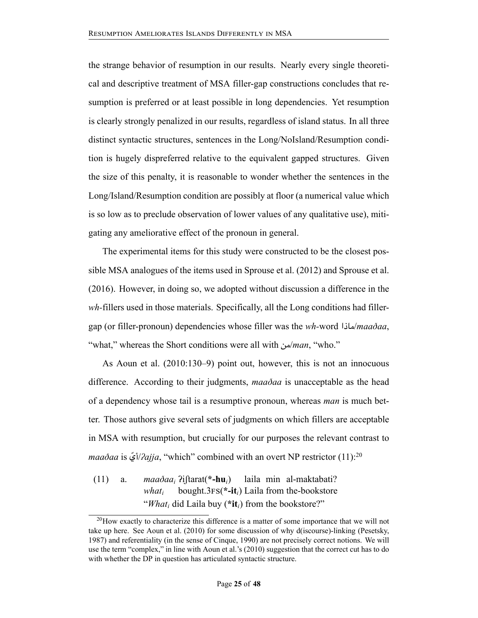the strange behavior of resumption in our results. Nearly every single theoretical and descriptive treatment of MSA filler-gap constructions concludes that resumption is preferred or at least possible in long dependencies. Yet resumption is clearly strongly penalized in our results, regardless of island status. In all three distinct syntactic structures, sentences in the Long/NoIsland/Resumption condition is hugely dispreferred relative to the equivalent gapped structures. Given the size of this penalty, it is reasonable to wonder whether the sentences in the Long/Island/Resumption condition are possibly at floor (a numerical value which is so low as to preclude observation of lower values of any qualitative use), mitigating any ameliorative effect of the pronoun in general.

The experimental items for this study were constructed to be the closest possible MSA analogues of the items used in Sprouse et al. (2012) and Sprouse et al. (2016). However, in doing so, we adopted without discussion a difference in the *wh-*fillers used in those materials. Specifically, all the Long conditions had fillergap (or filler-pronoun) dependencies whose filler was the *wh-*word ازا٪/*maaðaa*, "what," whereas the Short conditions were all with  $\omega$ /*man*, "who."

As Aoun et al. (2010:130–9) point out, however, this is not an innocuous difference. According to their judgments, *maaðaa* is unacceptable as the head of a dependency whose tail is a resumptive pronoun, whereas *man* is much better. Those authors give several sets of judgments on which fillers are acceptable in MSA with resumption, but crucially for our purposes the relevant contrast to *maaðaa* is *أيّ* /*ʔajja*, "which" combined with an overt NP restrictor (11):<sup>20</sup>

(11) a. *maaðaa<sup>i</sup>* ʔiʃtarat(**\*-hu***i*) *what<sup>i</sup>* bought.3FS(\*-it<sub>*i*</sub>)</sub> Laila from the-bookstore laila min al-maktabati? "*What<sup>i</sup>* did Laila buy (**\*it***i*) from the bookstore?"

 $^{20}$ How exactly to characterize this difference is a matter of some importance that we will not take up here. See Aoun et al. (2010) for some discussion of why d(iscourse)-linking (Pesetsky, 1987) and referentiality (in the sense of Cinque, 1990) are not precisely correct notions. We will use the term "complex," in line with Aoun et al.'s (2010) suggestion that the correct cut has to do with whether the DP in question has articulated syntactic structure.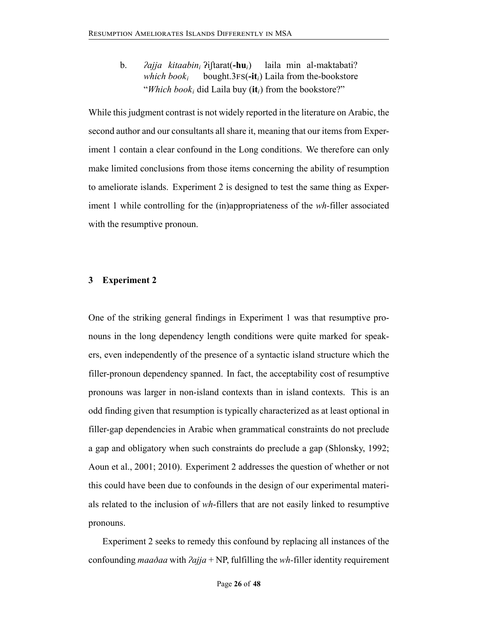b. *ʔajja kitaabin<sup>i</sup>* ʔiʃtarat(**-hu***i*) *which book<sup>i</sup>* bought.3FS(-it<sub>*i*</sub>)</sub> Laila from the-bookstore laila min al-maktabati? "*Which book<sup>i</sup>* did Laila buy (**it***i*) from the bookstore?"

While this judgment contrast is not widely reported in the literature on Arabic, the second author and our consultants all share it, meaning that our items from Experiment 1 contain a clear confound in the Long conditions. We therefore can only make limited conclusions from those items concerning the ability of resumption to ameliorate islands. Experiment 2 is designed to test the same thing as Experiment 1 while controlling for the (in)appropriateness of the *wh-*filler associated with the resumptive pronoun.

#### **3 Experiment 2**

One of the striking general findings in Experiment 1 was that resumptive pronouns in the long dependency length conditions were quite marked for speakers, even independently of the presence of a syntactic island structure which the filler-pronoun dependency spanned. In fact, the acceptability cost of resumptive pronouns was larger in non-island contexts than in island contexts. This is an odd finding given that resumption is typically characterized as at least optional in filler-gap dependencies in Arabic when grammatical constraints do not preclude a gap and obligatory when such constraints do preclude a gap (Shlonsky, 1992; Aoun et al., 2001; 2010). Experiment 2 addresses the question of whether or not this could have been due to confounds in the design of our experimental materials related to the inclusion of *wh*-fillers that are not easily linked to resumptive pronouns.

Experiment 2 seeks to remedy this confound by replacing all instances of the confounding *maaðaa* with *ʔajja* + NP, fulfilling the *wh-*filler identity requirement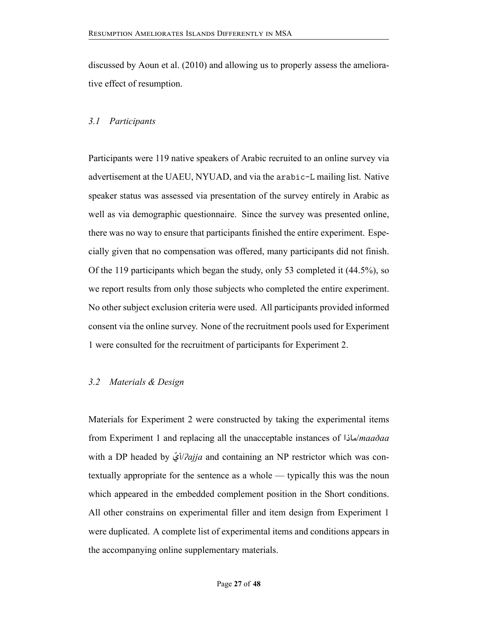discussed by Aoun et al. (2010) and allowing us to properly assess the ameliorative effect of resumption.

#### *3.1 Participants*

Participants were 119 native speakers of Arabic recruited to an online survey via advertisement at the UAEU, NYUAD, and via the arabic-L mailing list. Native speaker status was assessed via presentation of the survey entirely in Arabic as well as via demographic questionnaire. Since the survey was presented online, there was no way to ensure that participants finished the entire experiment. Especially given that no compensation was offered, many participants did not finish. Of the 119 participants which began the study, only 53 completed it (44.5%), so we report results from only those subjects who completed the entire experiment. No other subject exclusion criteria were used. All participants provided informed consent via the online survey. None of the recruitment pools used for Experiment 1 were consulted for the recruitment of participants for Experiment 2.

### *3.2 Materials & Design*

Materials for Experiment 2 were constructed by taking the experimental items from Experiment 1 and replacing all the unacceptable instances of ازا٪/*maaðaa* with a DP headed by أيٴّ /*ʔajja* and containing an NP restrictor which was contextually appropriate for the sentence as a whole — typically this was the noun which appeared in the embedded complement position in the Short conditions. All other constrains on experimental filler and item design from Experiment 1 were duplicated. A complete list of experimental items and conditions appears in the accompanying online supplementary materials.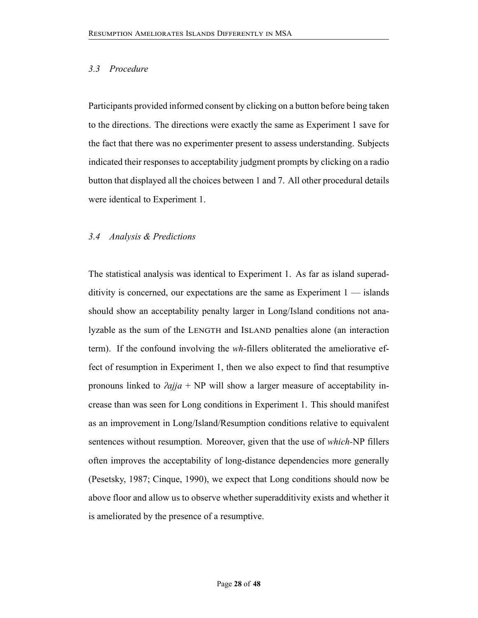### *3.3 Procedure*

Participants provided informed consent by clicking on a button before being taken to the directions. The directions were exactly the same as Experiment 1 save for the fact that there was no experimenter present to assess understanding. Subjects indicated their responses to acceptability judgment prompts by clicking on a radio button that displayed all the choices between 1 and 7. All other procedural details were identical to Experiment 1.

### *3.4 Analysis & Predictions*

The statistical analysis was identical to Experiment 1. As far as island superadditivity is concerned, our expectations are the same as Experiment 1 — islands should show an acceptability penalty larger in Long/Island conditions not analyzable as the sum of the LENGTH and ISLAND penalties alone (an interaction term). If the confound involving the *wh-*fillers obliterated the ameliorative effect of resumption in Experiment 1, then we also expect to find that resumptive pronouns linked to *ʔajja* + NP will show a larger measure of acceptability increase than was seen for Long conditions in Experiment 1. This should manifest as an improvement in Long/Island/Resumption conditions relative to equivalent sentences without resumption. Moreover, given that the use of *which-*NP fillers often improves the acceptability of long-distance dependencies more generally (Pesetsky, 1987; Cinque, 1990), we expect that Long conditions should now be above floor and allow us to observe whether superadditivity exists and whether it is ameliorated by the presence of a resumptive.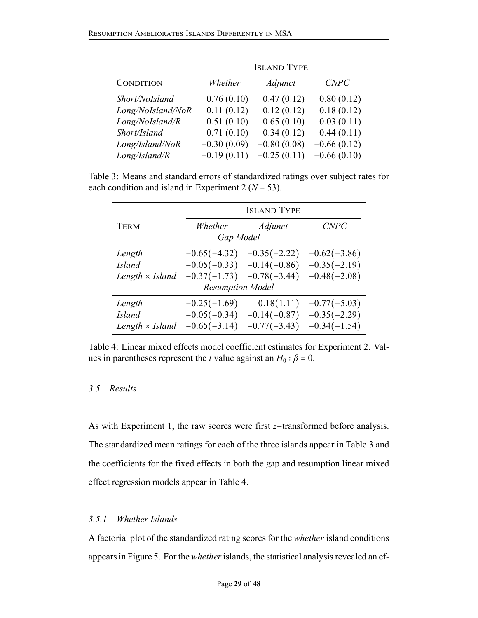|                   | <b>ISLAND TYPE</b> |               |               |
|-------------------|--------------------|---------------|---------------|
| <b>CONDITION</b>  | Whether            | Adjunct       | CNPC          |
| Short/NoIsland    | 0.76(0.10)         | 0.47(0.12)    | 0.80(0.12)    |
| Long/NoIsland/NoR | 0.11(0.12)         | 0.12(0.12)    | 0.18(0.12)    |
| Long/NoIsland/R   | 0.51(0.10)         | 0.65(0.10)    | 0.03(0.11)    |
| Short/Island      | 0.71(0.10)         | 0.34(0.12)    | 0.44(0.11)    |
| Long/Island/NoR   | $-0.30(0.09)$      | $-0.80(0.08)$ | $-0.66(0.12)$ |
| Long/Island/R     | $-0.19(0.11)$      | $-0.25(0.11)$ | $-0.66(0.10)$ |

Table 3: Means and standard errors of standardized ratings over subject rates for each condition and island in Experiment  $2 (N = 53)$ .

|                         | <b>ISLAND TYPE</b> |                               |                |  |
|-------------------------|--------------------|-------------------------------|----------------|--|
| TERM                    | Whether            | Adjunct                       | $C\!$          |  |
|                         | Gap Model          |                               |                |  |
| Length                  |                    | $-0.65(-4.32)$ $-0.35(-2.22)$ | $-0.62(-3.86)$ |  |
| <i>Island</i>           |                    | $-0.05(-0.33)$ $-0.14(-0.86)$ | $-0.35(-2.19)$ |  |
| Length $\times$ Island  | $-0.37(-1.73)$     | $-0.78(-3.44)$                | $-0.48(-2.08)$ |  |
| <b>Resumption Model</b> |                    |                               |                |  |
| Length                  | $-0.25(-1.69)$     | 0.18(1.11)                    | $-0.77(-5.03)$ |  |
| <i>Island</i>           | $-0.05(-0.34)$     | $-0.14(-0.87)$                | $-0.35(-2.29)$ |  |
| Length $\times$ Island  | $-0.65(-3.14)$     | $-0.77(-3.43)$                | $-0.34(-1.54)$ |  |

Table 4: Linear mixed effects model coefficient estimates for Experiment 2. Values in parentheses represent the *t* value against an  $H_0: \beta = 0$ .

### *3.5 Results*

As with Experiment 1, the raw scores were first *z*−transformed before analysis. The standardized mean ratings for each of the three islands appear in Table 3 and the coefficients for the fixed effects in both the gap and resumption linear mixed effect regression models appear in Table 4.

# *3.5.1 Whether Islands*

A factorial plot of the standardized rating scores for the *whether* island conditions appears in Figure 5. For the *whether* islands, the statistical analysis revealed an ef-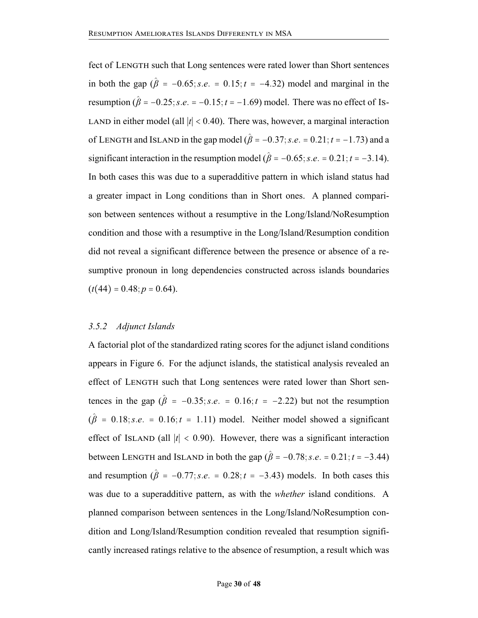fect of LENGTH such that Long sentences were rated lower than Short sentences in both the gap ( $\hat{\beta}$  = −0.65; *s.e.* = 0.15; *t* = −4.32) model and marginal in the resumption ( $\hat{\beta}$  = −0.25; *s.e.* = −0.15; *t* = −1.69) model. There was no effect of Is-LAND in either model (all  $|t|$  < 0.40). There was, however, a marginal interaction of LENGTH and ISLAND in the gap model ( $\hat{\beta}$  = −0.37; *s.e.* = 0.21; *t* = −1.73) and a significant interaction in the resumption model ( $\hat{\beta}$  = −0.65; *s.e.* = 0.21; *t* = −3.14). In both cases this was due to a superadditive pattern in which island status had a greater impact in Long conditions than in Short ones. A planned comparison between sentences without a resumptive in the Long/Island/NoResumption condition and those with a resumptive in the Long/Island/Resumption condition did not reveal a significant difference between the presence or absence of a resumptive pronoun in long dependencies constructed across islands boundaries  $(t(44) = 0.48; p = 0.64)$ .

### *3.5.2 Adjunct Islands*

A factorial plot of the standardized rating scores for the adjunct island conditions appears in Figure 6. For the adjunct islands, the statistical analysis revealed an effect of LENGTH such that Long sentences were rated lower than Short sentences in the gap  $(\hat{\beta} = -0.35; s.e. = 0.16; t = -2.22)$  but not the resumption  $(\hat{\beta} = 0.18; s.e. = 0.16; t = 1.11)$  model. Neither model showed a significant effect of IsLAND (all |*t*| < 0.90). However, there was a significant interaction between LENGTH and ISLAND in both the gap  $(\hat{\beta} = -0.78; s.e. = 0.21; t = -3.44)$ and resumption ( $\hat{\beta}$  = −0.77; *s.e.* = 0.28; *t* = −3.43) models. In both cases this was due to a superadditive pattern, as with the *whether* island conditions. A planned comparison between sentences in the Long/Island/NoResumption condition and Long/Island/Resumption condition revealed that resumption significantly increased ratings relative to the absence of resumption, a result which was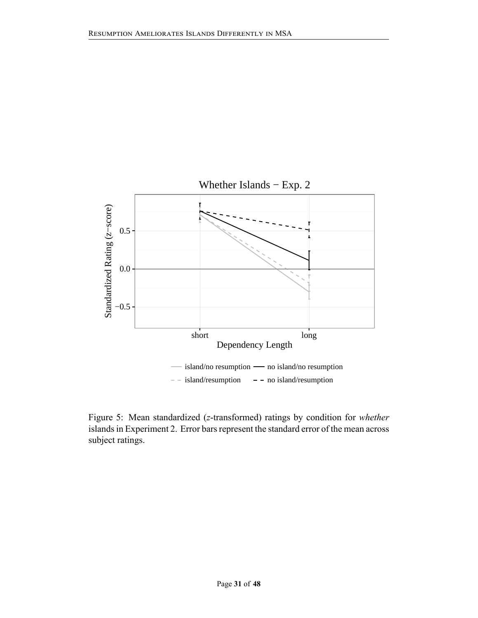

Figure 5: Mean standardized (*z*-transformed) ratings by condition for *whether* islands in Experiment 2. Error bars represent the standard error of the mean across subject ratings.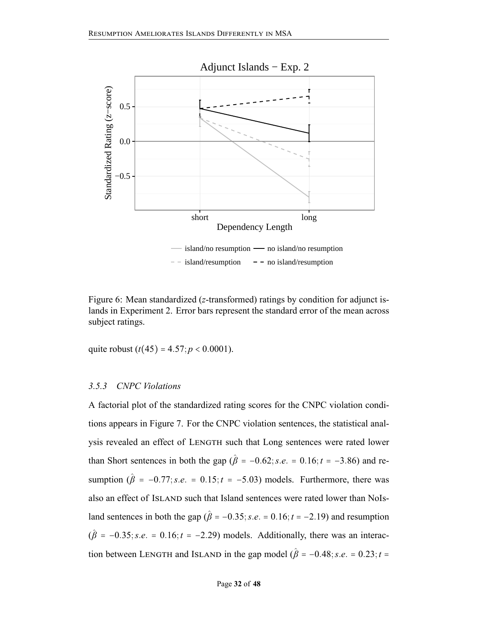

Figure 6: Mean standardized (*z*-transformed) ratings by condition for adjunct islands in Experiment 2. Error bars represent the standard error of the mean across subject ratings.

quite robust  $(t(45) = 4.57; p < 0.0001)$ .

### *3.5.3 CNPC Violations*

A factorial plot of the standardized rating scores for the CNPC violation conditions appears in Figure 7. For the CNPC violation sentences, the statistical analysis revealed an effect of LENGTH such that Long sentences were rated lower than Short sentences in both the gap ( $\hat{\beta}$  = −0.62; *s.e.* = 0.16; *t* = −3.86) and resumption ( $\hat{\beta}$  = −0.77; *s.e.* = 0.15; *t* = −5.03) models. Furthermore, there was also an effect of Island such that Island sentences were rated lower than NoIsland sentences in both the gap  $(\hat{\beta} = -0.35; s.e. = 0.16; t = -2.19)$  and resumption  $(\hat{\beta} = -0.35; s.e. = 0.16; t = -2.29)$  models. Additionally, there was an interaction between LENGTH and ISLAND in the gap model ( $\hat{\beta}$  = −0.48; *s.e.* = 0.23; *t* =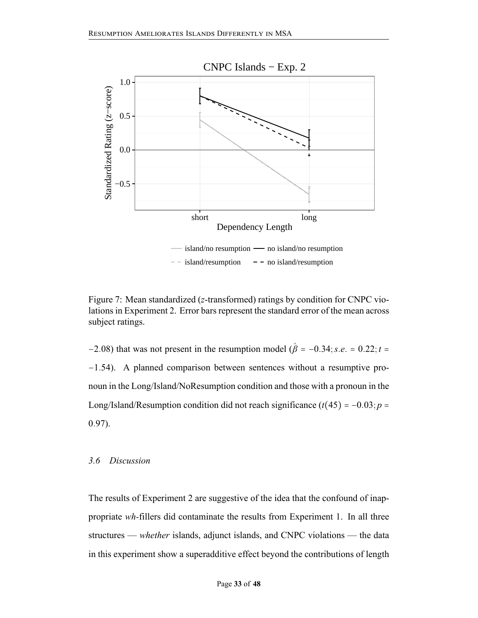

Figure 7: Mean standardized (*z*-transformed) ratings by condition for CNPC violations in Experiment 2. Error bars represent the standard error of the mean across subject ratings.

−2.08) that was not present in the resumption model ( $\hat{\beta}$  = −0.34; *s.e.* = 0.22; *t* = −1.54). A planned comparison between sentences without a resumptive pronoun in the Long/Island/NoResumption condition and those with a pronoun in the Long/Island/Resumption condition did not reach significance  $(t(45) = -0.03; p =$ 0.97).

#### *3.6 Discussion*

The results of Experiment 2 are suggestive of the idea that the confound of inappropriate *wh-*fillers did contaminate the results from Experiment 1. In all three structures — *whether* islands, adjunct islands, and CNPC violations — the data in this experiment show a superadditive effect beyond the contributions of length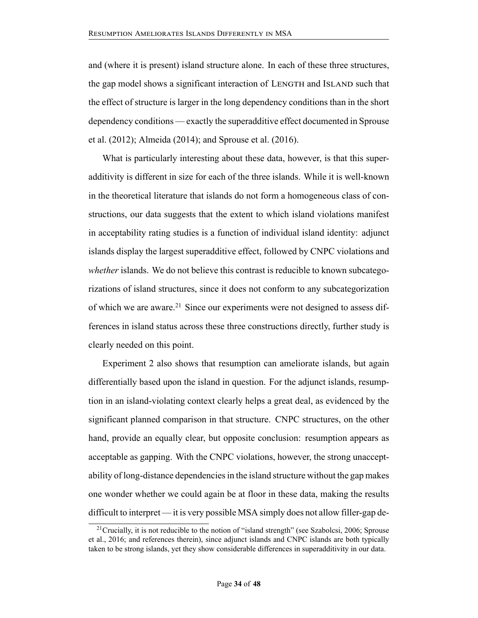and (where it is present) island structure alone. In each of these three structures, the gap model shows a significant interaction of LENGTH and ISLAND such that the effect of structure is larger in the long dependency conditions than in the short dependency conditions — exactly the superadditive effect documented in Sprouse et al. (2012); Almeida (2014); and Sprouse et al. (2016).

What is particularly interesting about these data, however, is that this superadditivity is different in size for each of the three islands. While it is well-known in the theoretical literature that islands do not form a homogeneous class of constructions, our data suggests that the extent to which island violations manifest in acceptability rating studies is a function of individual island identity: adjunct islands display the largest superadditive effect, followed by CNPC violations and *whether* islands. We do not believe this contrast is reducible to known subcategorizations of island structures, since it does not conform to any subcategorization of which we are aware.<sup>21</sup> Since our experiments were not designed to assess differences in island status across these three constructions directly, further study is clearly needed on this point.

Experiment 2 also shows that resumption can ameliorate islands, but again differentially based upon the island in question. For the adjunct islands, resumption in an island-violating context clearly helps a great deal, as evidenced by the significant planned comparison in that structure. CNPC structures, on the other hand, provide an equally clear, but opposite conclusion: resumption appears as acceptable as gapping. With the CNPC violations, however, the strong unacceptability of long-distance dependencies in the island structure without the gap makes one wonder whether we could again be at floor in these data, making the results difficult to interpret — it is very possible MSA simply does not allow filler-gap de-

<sup>&</sup>lt;sup>21</sup> Crucially, it is not reducible to the notion of "island strength" (see Szabolcsi, 2006; Sprouse et al., 2016; and references therein), since adjunct islands and CNPC islands are both typically taken to be strong islands, yet they show considerable differences in superadditivity in our data.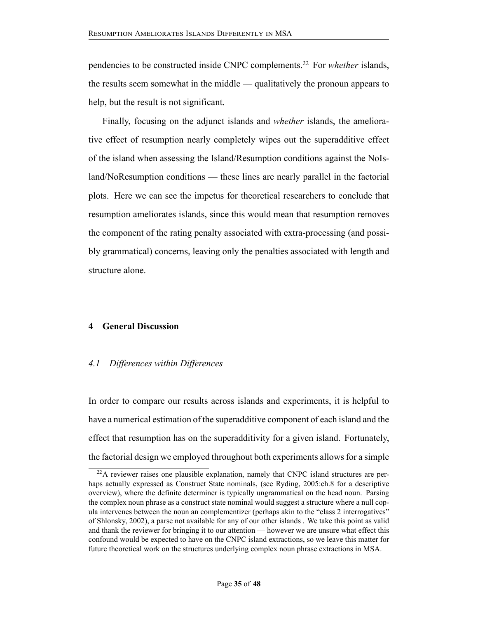pendencies to be constructed inside CNPC complements.<sup>22</sup> For *whether* islands, the results seem somewhat in the middle — qualitatively the pronoun appears to help, but the result is not significant.

Finally, focusing on the adjunct islands and *whether* islands, the ameliorative effect of resumption nearly completely wipes out the superadditive effect of the island when assessing the Island/Resumption conditions against the NoIsland/NoResumption conditions — these lines are nearly parallel in the factorial plots. Here we can see the impetus for theoretical researchers to conclude that resumption ameliorates islands, since this would mean that resumption removes the component of the rating penalty associated with extra-processing (and possibly grammatical) concerns, leaving only the penalties associated with length and structure alone.

### **4 General Discussion**

#### *4.1 Differences within Differences*

In order to compare our results across islands and experiments, it is helpful to have a numerical estimation of the superadditive component of each island and the effect that resumption has on the superadditivity for a given island. Fortunately, the factorial design we employed throughout both experiments allows for a simple

<sup>22</sup>A reviewer raises one plausible explanation, namely that CNPC island structures are perhaps actually expressed as Construct State nominals, (see Ryding, 2005:ch.8 for a descriptive overview), where the definite determiner is typically ungrammatical on the head noun. Parsing the complex noun phrase as a construct state nominal would suggest a structure where a null copula intervenes between the noun an complementizer (perhaps akin to the "class 2 interrogatives" of Shlonsky, 2002), a parse not available for any of our other islands . We take this point as valid and thank the reviewer for bringing it to our attention — however we are unsure what effect this confound would be expected to have on the CNPC island extractions, so we leave this matter for future theoretical work on the structures underlying complex noun phrase extractions in MSA.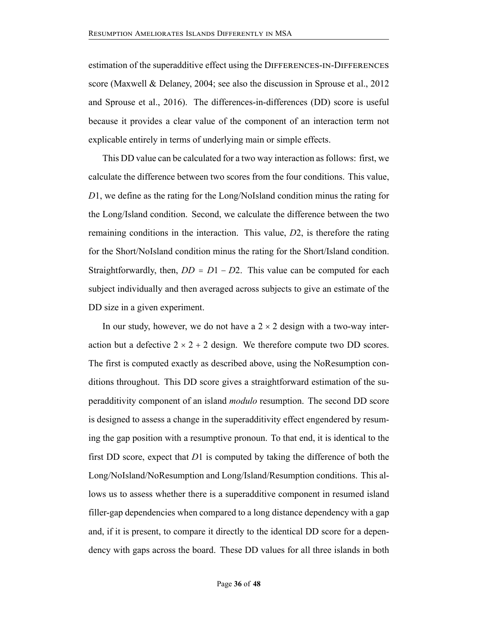estimation of the superadditive effect using the DIFFERENCES-IN-DIFFERENCES score (Maxwell & Delaney, 2004; see also the discussion in Sprouse et al., 2012 and Sprouse et al., 2016). The differences-in-differences (DD) score is useful because it provides a clear value of the component of an interaction term not explicable entirely in terms of underlying main or simple effects.

This DD value can be calculated for a two way interaction as follows: first, we calculate the difference between two scores from the four conditions. This value, *D*1, we define as the rating for the Long/NoIsland condition minus the rating for the Long/Island condition. Second, we calculate the difference between the two remaining conditions in the interaction. This value, *D*2, is therefore the rating for the Short/NoIsland condition minus the rating for the Short/Island condition. Straightforwardly, then,  $DD = D1 - D2$ . This value can be computed for each subject individually and then averaged across subjects to give an estimate of the DD size in a given experiment.

In our study, however, we do not have a  $2 \times 2$  design with a two-way interaction but a defective  $2 \times 2 + 2$  design. We therefore compute two DD scores. The first is computed exactly as described above, using the NoResumption conditions throughout. This DD score gives a straightforward estimation of the superadditivity component of an island *modulo* resumption. The second DD score is designed to assess a change in the superadditivity effect engendered by resuming the gap position with a resumptive pronoun. To that end, it is identical to the first DD score, expect that *D*1 is computed by taking the difference of both the Long/NoIsland/NoResumption and Long/Island/Resumption conditions. This allows us to assess whether there is a superadditive component in resumed island filler-gap dependencies when compared to a long distance dependency with a gap and, if it is present, to compare it directly to the identical DD score for a dependency with gaps across the board. These DD values for all three islands in both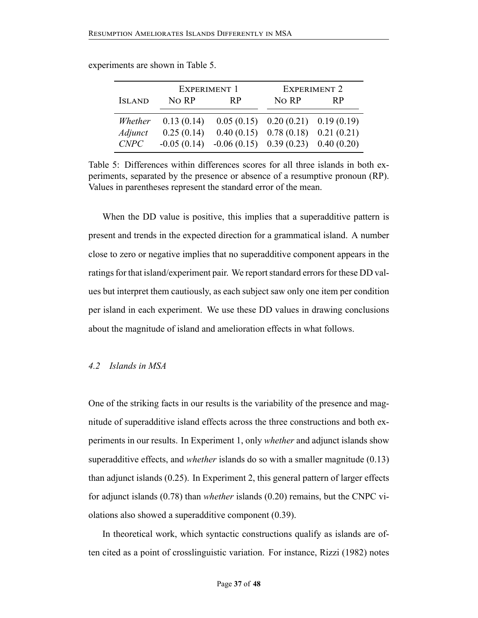|               | EXPERIMENT 1  |                                       | <b>EXPERIMENT 2</b>                    |                |
|---------------|---------------|---------------------------------------|----------------------------------------|----------------|
| <b>ISLAND</b> | No RP         | <b>RP</b>                             | No RP                                  | R <sub>P</sub> |
| Whether       | 0.13(0.14)    |                                       | $0.05(0.15)$ $0.20(0.21)$ $0.19(0.19)$ |                |
| Adjunct       | 0.25(0.14)    |                                       | $0.40(0.15)$ $0.78(0.18)$ $0.21(0.21)$ |                |
| $C\!N\!P\!C$  | $-0.05(0.14)$ | $-0.06(0.15)$ 0.39 (0.23) 0.40 (0.20) |                                        |                |

experiments are shown in Table 5.

Table 5: Differences within differences scores for all three islands in both experiments, separated by the presence or absence of a resumptive pronoun (RP). Values in parentheses represent the standard error of the mean.

When the DD value is positive, this implies that a superadditive pattern is present and trends in the expected direction for a grammatical island. A number close to zero or negative implies that no superadditive component appears in the ratings for that island/experiment pair. We report standard errors for these DD values but interpret them cautiously, as each subject saw only one item per condition per island in each experiment. We use these DD values in drawing conclusions about the magnitude of island and amelioration effects in what follows.

### *4.2 Islands in MSA*

One of the striking facts in our results is the variability of the presence and magnitude of superadditive island effects across the three constructions and both experiments in our results. In Experiment 1, only *whether* and adjunct islands show superadditive effects, and *whether* islands do so with a smaller magnitude (0.13) than adjunct islands (0.25). In Experiment 2, this general pattern of larger effects for adjunct islands (0.78) than *whether* islands (0.20) remains, but the CNPC violations also showed a superadditive component (0.39).

In theoretical work, which syntactic constructions qualify as islands are often cited as a point of crosslinguistic variation. For instance, Rizzi (1982) notes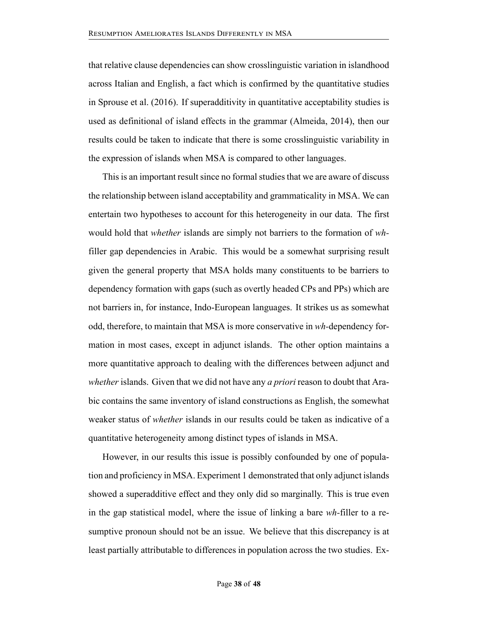that relative clause dependencies can show crosslinguistic variation in islandhood across Italian and English, a fact which is confirmed by the quantitative studies in Sprouse et al. (2016). If superadditivity in quantitative acceptability studies is used as definitional of island effects in the grammar (Almeida, 2014), then our results could be taken to indicate that there is some crosslinguistic variability in the expression of islands when MSA is compared to other languages.

This is an important result since no formal studies that we are aware of discuss the relationship between island acceptability and grammaticality in MSA. We can entertain two hypotheses to account for this heterogeneity in our data. The first would hold that *whether* islands are simply not barriers to the formation of *wh*filler gap dependencies in Arabic. This would be a somewhat surprising result given the general property that MSA holds many constituents to be barriers to dependency formation with gaps (such as overtly headed CPs and PPs) which are not barriers in, for instance, Indo-European languages. It strikes us as somewhat odd, therefore, to maintain that MSA is more conservative in *wh-*dependency formation in most cases, except in adjunct islands. The other option maintains a more quantitative approach to dealing with the differences between adjunct and *whether* islands. Given that we did not have any *a priori* reason to doubt that Arabic contains the same inventory of island constructions as English, the somewhat weaker status of *whether* islands in our results could be taken as indicative of a quantitative heterogeneity among distinct types of islands in MSA.

However, in our results this issue is possibly confounded by one of population and proficiency in MSA. Experiment 1 demonstrated that only adjunct islands showed a superadditive effect and they only did so marginally. This is true even in the gap statistical model, where the issue of linking a bare *wh-*filler to a resumptive pronoun should not be an issue. We believe that this discrepancy is at least partially attributable to differences in population across the two studies. Ex-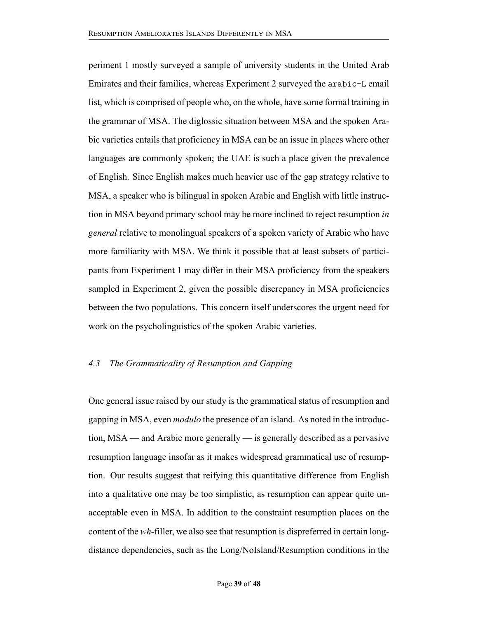periment 1 mostly surveyed a sample of university students in the United Arab Emirates and their families, whereas Experiment 2 surveyed the arabic-L email list, which is comprised of people who, on the whole, have some formal training in the grammar of MSA. The diglossic situation between MSA and the spoken Arabic varieties entails that proficiency in MSA can be an issue in places where other languages are commonly spoken; the UAE is such a place given the prevalence of English. Since English makes much heavier use of the gap strategy relative to MSA, a speaker who is bilingual in spoken Arabic and English with little instruction in MSA beyond primary school may be more inclined to reject resumption *in general* relative to monolingual speakers of a spoken variety of Arabic who have more familiarity with MSA. We think it possible that at least subsets of participants from Experiment 1 may differ in their MSA proficiency from the speakers sampled in Experiment 2, given the possible discrepancy in MSA proficiencies between the two populations. This concern itself underscores the urgent need for work on the psycholinguistics of the spoken Arabic varieties.

### *4.3 The Grammaticality of Resumption and Gapping*

One general issue raised by our study is the grammatical status of resumption and gapping in MSA, even *modulo* the presence of an island. As noted in the introduction, MSA — and Arabic more generally — is generally described as a pervasive resumption language insofar as it makes widespread grammatical use of resumption. Our results suggest that reifying this quantitative difference from English into a qualitative one may be too simplistic, as resumption can appear quite unacceptable even in MSA. In addition to the constraint resumption places on the content of the *wh-*filler, we also see that resumption is dispreferred in certain longdistance dependencies, such as the Long/NoIsland/Resumption conditions in the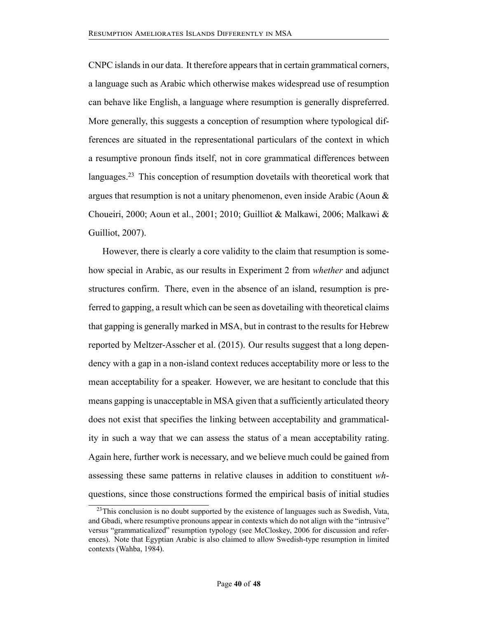CNPC islands in our data. It therefore appears that in certain grammatical corners, a language such as Arabic which otherwise makes widespread use of resumption can behave like English, a language where resumption is generally dispreferred. More generally, this suggests a conception of resumption where typological differences are situated in the representational particulars of the context in which a resumptive pronoun finds itself, not in core grammatical differences between languages.<sup>23</sup> This conception of resumption dovetails with theoretical work that argues that resumption is not a unitary phenomenon, even inside Arabic (Aoun  $\&$ Choueiri, 2000; Aoun et al., 2001; 2010; Guilliot & Malkawi, 2006; Malkawi & Guilliot, 2007).

However, there is clearly a core validity to the claim that resumption is somehow special in Arabic, as our results in Experiment 2 from *whether* and adjunct structures confirm. There, even in the absence of an island, resumption is preferred to gapping, a result which can be seen as dovetailing with theoretical claims that gapping is generally marked in MSA, but in contrast to the results for Hebrew reported by Meltzer-Asscher et al. (2015). Our results suggest that a long dependency with a gap in a non-island context reduces acceptability more or less to the mean acceptability for a speaker. However, we are hesitant to conclude that this means gapping is unacceptable in MSA given that a sufficiently articulated theory does not exist that specifies the linking between acceptability and grammaticality in such a way that we can assess the status of a mean acceptability rating. Again here, further work is necessary, and we believe much could be gained from assessing these same patterns in relative clauses in addition to constituent *wh*questions, since those constructions formed the empirical basis of initial studies

 $23$ This conclusion is no doubt supported by the existence of languages such as Swedish, Vata, and Gbadi, where resumptive pronouns appear in contexts which do not align with the "intrusive" versus "grammaticalized" resumption typology (see McCloskey, 2006 for discussion and references). Note that Egyptian Arabic is also claimed to allow Swedish-type resumption in limited contexts (Wahba, 1984).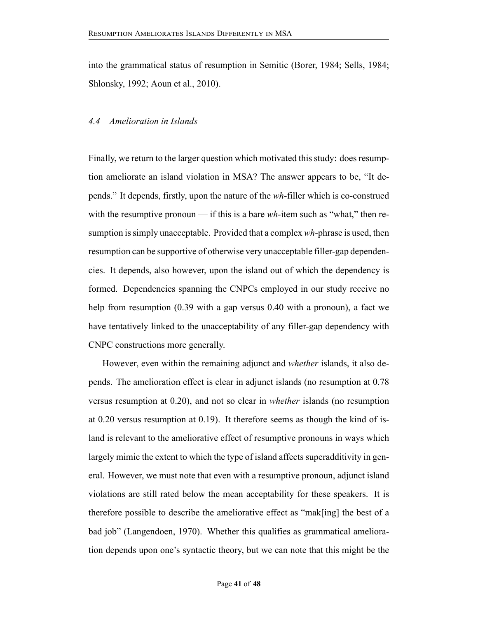into the grammatical status of resumption in Semitic (Borer, 1984; Sells, 1984; Shlonsky, 1992; Aoun et al., 2010).

#### *4.4 Amelioration in Islands*

Finally, we return to the larger question which motivated this study: does resumption ameliorate an island violation in MSA? The answer appears to be, "It depends." It depends, firstly, upon the nature of the *wh*-filler which is co-construed with the resumptive pronoun — if this is a bare *wh*-item such as "what," then resumption is simply unacceptable. Provided that a complex *wh-*phrase is used, then resumption can be supportive of otherwise very unacceptable filler-gap dependencies. It depends, also however, upon the island out of which the dependency is formed. Dependencies spanning the CNPCs employed in our study receive no help from resumption (0.39 with a gap versus 0.40 with a pronoun), a fact we have tentatively linked to the unacceptability of any filler-gap dependency with CNPC constructions more generally.

However, even within the remaining adjunct and *whether* islands, it also depends. The amelioration effect is clear in adjunct islands (no resumption at 0.78 versus resumption at 0.20), and not so clear in *whether* islands (no resumption at 0.20 versus resumption at 0.19). It therefore seems as though the kind of island is relevant to the ameliorative effect of resumptive pronouns in ways which largely mimic the extent to which the type of island affects superadditivity in general. However, we must note that even with a resumptive pronoun, adjunct island violations are still rated below the mean acceptability for these speakers. It is therefore possible to describe the ameliorative effect as "mak[ing] the best of a bad job" (Langendoen, 1970). Whether this qualifies as grammatical amelioration depends upon one's syntactic theory, but we can note that this might be the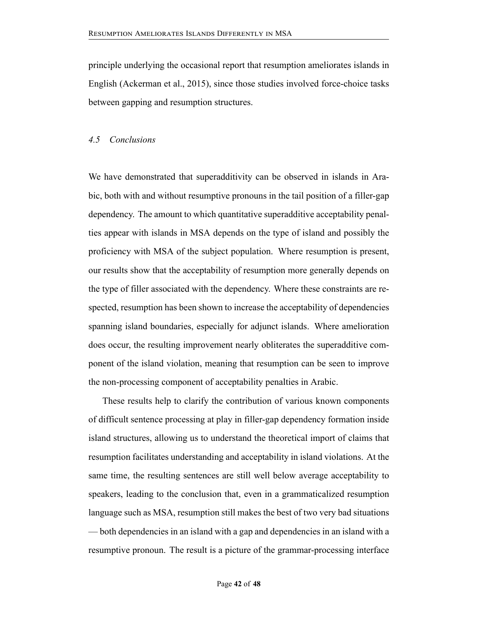principle underlying the occasional report that resumption ameliorates islands in English (Ackerman et al., 2015), since those studies involved force-choice tasks between gapping and resumption structures.

### *4.5 Conclusions*

We have demonstrated that superadditivity can be observed in islands in Arabic, both with and without resumptive pronouns in the tail position of a filler-gap dependency. The amount to which quantitative superadditive acceptability penalties appear with islands in MSA depends on the type of island and possibly the proficiency with MSA of the subject population. Where resumption is present, our results show that the acceptability of resumption more generally depends on the type of filler associated with the dependency. Where these constraints are respected, resumption has been shown to increase the acceptability of dependencies spanning island boundaries, especially for adjunct islands. Where amelioration does occur, the resulting improvement nearly obliterates the superadditive component of the island violation, meaning that resumption can be seen to improve the non-processing component of acceptability penalties in Arabic.

These results help to clarify the contribution of various known components of difficult sentence processing at play in filler-gap dependency formation inside island structures, allowing us to understand the theoretical import of claims that resumption facilitates understanding and acceptability in island violations. At the same time, the resulting sentences are still well below average acceptability to speakers, leading to the conclusion that, even in a grammaticalized resumption language such as MSA, resumption still makes the best of two very bad situations — both dependencies in an island with a gap and dependencies in an island with a resumptive pronoun. The result is a picture of the grammar-processing interface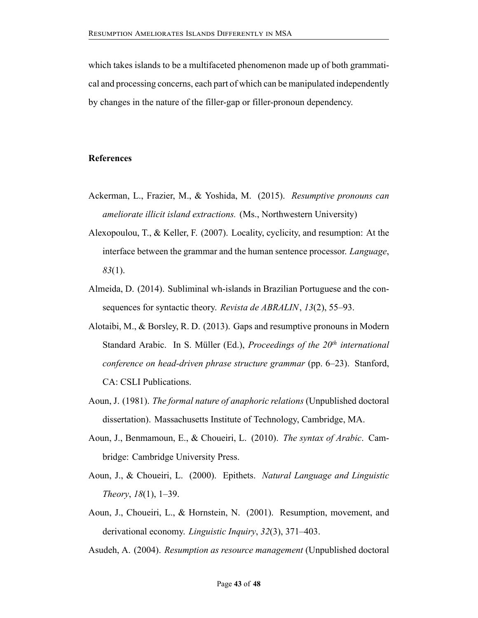which takes islands to be a multifaceted phenomenon made up of both grammatical and processing concerns, each part of which can be manipulated independently by changes in the nature of the filler-gap or filler-pronoun dependency.

### **References**

- Ackerman, L., Frazier, M., & Yoshida, M. (2015). *Resumptive pronouns can ameliorate illicit island extractions.* (Ms., Northwestern University)
- Alexopoulou, T., & Keller, F. (2007). Locality, cyclicity, and resumption: At the interface between the grammar and the human sentence processor. *Language*, *83*(1).
- Almeida, D. (2014). Subliminal wh-islands in Brazilian Portuguese and the consequences for syntactic theory. *Revista de ABRALIN*, *13*(2), 55–93.
- Alotaibi, M., & Borsley, R. D. (2013). Gaps and resumptive pronouns in Modern Standard Arabic. In S. Müller (Ed.), *Proceedings of the 20th international conference on head-driven phrase structure grammar* (pp. 6–23). Stanford, CA: CSLI Publications.
- Aoun, J. (1981). *The formal nature of anaphoric relations* (Unpublished doctoral dissertation). Massachusetts Institute of Technology, Cambridge, MA.
- Aoun, J., Benmamoun, E., & Choueiri, L. (2010). *The syntax of Arabic*. Cambridge: Cambridge University Press.
- Aoun, J., & Choueiri, L. (2000). Epithets. *Natural Language and Linguistic Theory*, *18*(1), 1–39.
- Aoun, J., Choueiri, L., & Hornstein, N. (2001). Resumption, movement, and derivational economy. *Linguistic Inquiry*, *32*(3), 371–403.

Asudeh, A. (2004). *Resumption as resource management* (Unpublished doctoral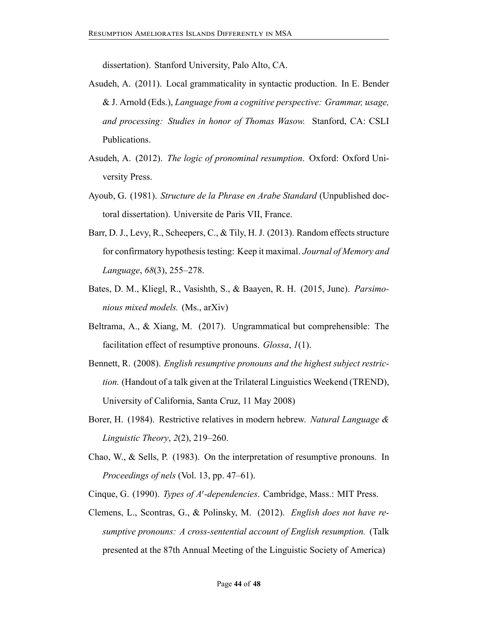dissertation). Stanford University, Palo Alto, CA.

- Asudeh, A. (2011). Local grammaticality in syntactic production. In E. Bender & J. Arnold (Eds.), *Language from a cognitive perspective: Grammar, usage, and processing: Studies in honor of Thomas Wasow.* Stanford, CA: CSLI Publications.
- Asudeh, A. (2012). *The logic of pronominal resumption*. Oxford: Oxford University Press.
- Ayoub, G. (1981). *Structure de la Phrase en Arabe Standard* (Unpublished doctoral dissertation). Universite de Paris VII, France.
- Barr, D. J., Levy, R., Scheepers, C., & Tily, H. J. (2013). Random effects structure for confirmatory hypothesis testing: Keep it maximal. *Journal of Memory and Language*, *68*(3), 255–278.
- Bates, D. M., Kliegl, R., Vasishth, S., & Baayen, R. H. (2015, June). *Parsimonious mixed models.* (Ms., arXiv)
- Beltrama, A., & Xiang, M. (2017). Ungrammatical but comprehensible: The facilitation effect of resumptive pronouns. *Glossa*, *1*(1).
- Bennett, R. (2008). *English resumptive pronouns and the highest subject restriction.* (Handout of a talk given at the Trilateral Linguistics Weekend (TREND), University of California, Santa Cruz, 11 May 2008)
- Borer, H. (1984). Restrictive relatives in modern hebrew. *Natural Language & Linguistic Theory*, *2*(2), 219–260.
- Chao, W., & Sells, P. (1983). On the interpretation of resumptive pronouns. In *Proceedings of nels* (Vol. 13, pp. 47–61).
- Cinque, G. (1990). *Types of A*′ *-dependencies*. Cambridge, Mass.: MIT Press.
- Clemens, L., Scontras, G., & Polinsky, M. (2012). *English does not have resumptive pronouns: A cross-sentential account of English resumption.* (Talk presented at the 87th Annual Meeting of the Linguistic Society of America)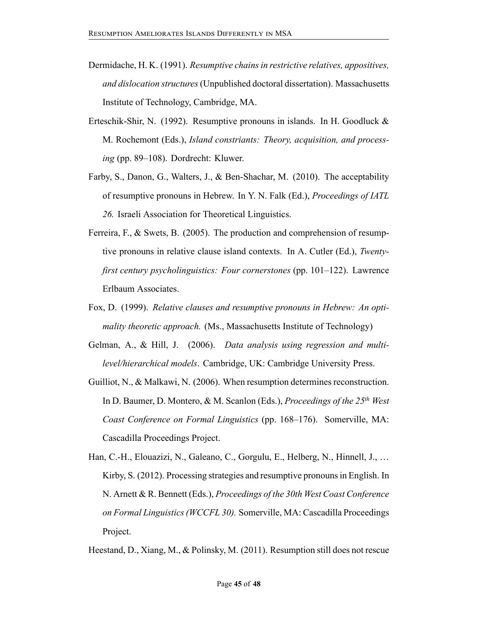- Dermidache, H. K. (1991). *Resumptive chains in restrictive relatives, appositives, and dislocation structures*(Unpublished doctoral dissertation). Massachusetts Institute of Technology, Cambridge, MA.
- Erteschik-Shir, N. (1992). Resumptive pronouns in islands. In H. Goodluck & M. Rochemont (Eds.), *Island constriants: Theory, acquisition, and processing* (pp. 89–108). Dordrecht: Kluwer.
- Farby, S., Danon, G., Walters, J., & Ben-Shachar, M. (2010). The acceptability of resumptive pronouns in Hebrew. In Y. N. Falk (Ed.), *Proceedings of IATL 26.* Israeli Association for Theoretical Linguistics.
- Ferreira, F., & Swets, B. (2005). The production and comprehension of resumptive pronouns in relative clause island contexts. In A. Cutler (Ed.), *Twentyfirst century psycholinguistics: Four cornerstones* (pp. 101–122). Lawrence Erlbaum Associates.
- Fox, D. (1999). *Relative clauses and resumptive pronouns in Hebrew: An optimality theoretic approach.* (Ms., Massachusetts Institute of Technology)
- Gelman, A., & Hill, J. (2006). *Data analysis using regression and multilevel/hierarchical models*. Cambridge, UK: Cambridge University Press.
- Guilliot, N., & Malkawi, N. (2006). When resumption determines reconstruction. In D. Baumer, D. Montero, & M. Scanlon (Eds.), *Proceedings of the 25th West Coast Conference on Formal Linguistics* (pp. 168–176). Somerville, MA: Cascadilla Proceedings Project.
- Han, C.-H., Elouazizi, N., Galeano, C., Gorgulu, E., Helberg, N., Hinnell, J., … Kirby, S. (2012). Processing strategies and resumptive pronouns in English. In N. Arnett & R. Bennett (Eds.), *Proceedings of the 30th West Coast Conference on Formal Linguistics (WCCFL 30).* Somerville, MA: Cascadilla Proceedings Project.

Heestand, D., Xiang, M., & Polinsky, M. (2011). Resumption still does not rescue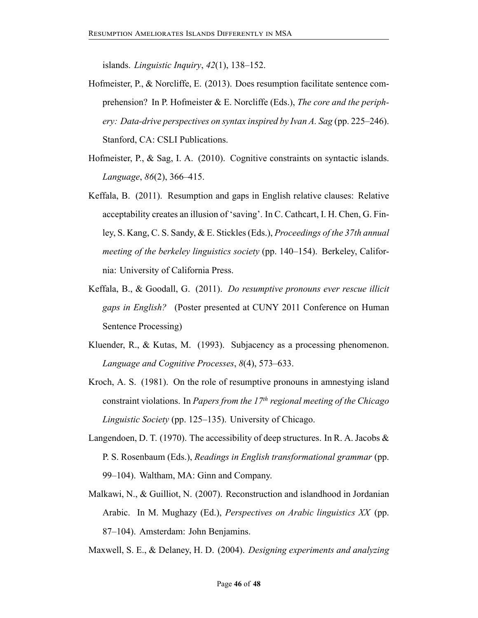islands. *Linguistic Inquiry*, *42*(1), 138–152.

- Hofmeister, P., & Norcliffe, E. (2013). Does resumption facilitate sentence comprehension? In P. Hofmeister & E. Norcliffe (Eds.), *The core and the periphery: Data-drive perspectives on syntax inspired by Ivan A. Sag* (pp. 225–246). Stanford, CA: CSLI Publications.
- Hofmeister, P., & Sag, I. A. (2010). Cognitive constraints on syntactic islands. *Language*, *86*(2), 366–415.
- Keffala, B. (2011). Resumption and gaps in English relative clauses: Relative acceptability creates an illusion of 'saving'. In C. Cathcart, I. H. Chen, G. Finley, S. Kang, C. S. Sandy, & E. Stickles (Eds.), *Proceedings of the 37th annual meeting of the berkeley linguistics society* (pp. 140–154). Berkeley, California: University of California Press.
- Keffala, B., & Goodall, G. (2011). *Do resumptive pronouns ever rescue illicit gaps in English?* (Poster presented at CUNY 2011 Conference on Human Sentence Processing)
- Kluender, R., & Kutas, M. (1993). Subjacency as a processing phenomenon. *Language and Cognitive Processes*, *8*(4), 573–633.
- Kroch, A. S. (1981). On the role of resumptive pronouns in amnestying island constraint violations. In *Papers from the 17th regional meeting of the Chicago Linguistic Society* (pp. 125–135). University of Chicago.
- Langendoen, D. T. (1970). The accessibility of deep structures. In R. A. Jacobs & P. S. Rosenbaum (Eds.), *Readings in English transformational grammar* (pp. 99–104). Waltham, MA: Ginn and Company.
- Malkawi, N., & Guilliot, N. (2007). Reconstruction and islandhood in Jordanian Arabic. In M. Mughazy (Ed.), *Perspectives on Arabic linguistics XX* (pp. 87–104). Amsterdam: John Benjamins.

Maxwell, S. E., & Delaney, H. D. (2004). *Designing experiments and analyzing*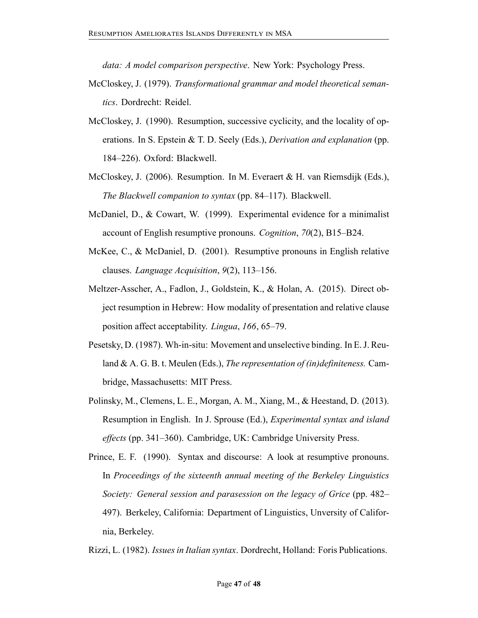*data: A model comparison perspective*. New York: Psychology Press.

- McCloskey, J. (1979). *Transformational grammar and model theoretical semantics*. Dordrecht: Reidel.
- McCloskey, J. (1990). Resumption, successive cyclicity, and the locality of operations. In S. Epstein & T. D. Seely (Eds.), *Derivation and explanation* (pp. 184–226). Oxford: Blackwell.
- McCloskey, J. (2006). Resumption. In M. Everaert & H. van Riemsdijk (Eds.), *The Blackwell companion to syntax* (pp. 84–117). Blackwell.
- McDaniel, D., & Cowart, W. (1999). Experimental evidence for a minimalist account of English resumptive pronouns. *Cognition*, *70*(2), B15–B24.
- McKee, C., & McDaniel, D. (2001). Resumptive pronouns in English relative clauses. *Language Acquisition*, *9*(2), 113–156.
- Meltzer-Asscher, A., Fadlon, J., Goldstein, K., & Holan, A. (2015). Direct object resumption in Hebrew: How modality of presentation and relative clause position affect acceptability. *Lingua*, *166*, 65–79.
- Pesetsky, D. (1987). Wh-in-situ: Movement and unselective binding. In E. J. Reuland & A. G. B. t. Meulen (Eds.), *The representation of (in)definiteness.* Cambridge, Massachusetts: MIT Press.
- Polinsky, M., Clemens, L. E., Morgan, A. M., Xiang, M., & Heestand, D. (2013). Resumption in English. In J. Sprouse (Ed.), *Experimental syntax and island effects* (pp. 341–360). Cambridge, UK: Cambridge University Press.
- Prince, E. F. (1990). Syntax and discourse: A look at resumptive pronouns. In *Proceedings of the sixteenth annual meeting of the Berkeley Linguistics Society: General session and parasession on the legacy of Grice* (pp. 482– 497). Berkeley, California: Department of Linguistics, Unversity of California, Berkeley.

Rizzi, L. (1982). *Issues in Italian syntax*. Dordrecht, Holland: Foris Publications.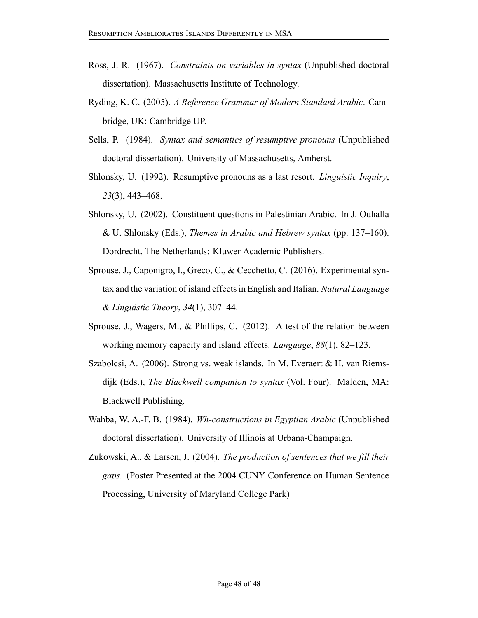- Ross, J. R. (1967). *Constraints on variables in syntax* (Unpublished doctoral dissertation). Massachusetts Institute of Technology.
- Ryding, K. C. (2005). *A Reference Grammar of Modern Standard Arabic*. Cambridge, UK: Cambridge UP.
- Sells, P. (1984). *Syntax and semantics of resumptive pronouns* (Unpublished doctoral dissertation). University of Massachusetts, Amherst.
- Shlonsky, U. (1992). Resumptive pronouns as a last resort. *Linguistic Inquiry*, *23*(3), 443–468.
- Shlonsky, U. (2002). Constituent questions in Palestinian Arabic. In J. Ouhalla & U. Shlonsky (Eds.), *Themes in Arabic and Hebrew syntax* (pp. 137–160). Dordrecht, The Netherlands: Kluwer Academic Publishers.
- Sprouse, J., Caponigro, I., Greco, C., & Cecchetto, C. (2016). Experimental syntax and the variation of island effects in English and Italian. *Natural Language & Linguistic Theory*, *34*(1), 307–44.
- Sprouse, J., Wagers, M., & Phillips, C. (2012). A test of the relation between working memory capacity and island effects. *Language*, *88*(1), 82–123.
- Szabolcsi, A. (2006). Strong vs. weak islands. In M. Everaert & H. van Riemsdijk (Eds.), *The Blackwell companion to syntax* (Vol. Four). Malden, MA: Blackwell Publishing.
- Wahba, W. A.-F. B. (1984). *Wh-constructions in Egyptian Arabic* (Unpublished doctoral dissertation). University of Illinois at Urbana-Champaign.
- Zukowski, A., & Larsen, J. (2004). *The production of sentences that we fill their gaps.* (Poster Presented at the 2004 CUNY Conference on Human Sentence Processing, University of Maryland College Park)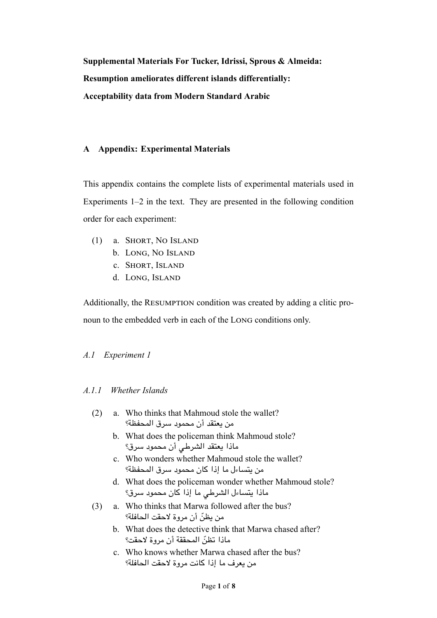**Supplemental Materials For Tucker, Idrissi, Sprous & Almeida: Resumption ameliorates different islands differentially: Acceptability data from Modern Standard Arabic**

# **A Appendix: Experimental Materials**

This appendix contains the complete lists of experimental materials used in Experiments 1–2 in the text. They are presented in the following condition order for each experiment:

- (1) a. Short, No Island
	- b. Long, No Island
	- c. Short, Island
	- d. Long, Island

Additionally, the RESUMPTION condition was created by adding a clitic pronoun to the embedded verb in each of the Long conditions only.

# *A.1 Experiment 1*

# *A.1.1 Whether Islands*

- (2) a. Who thinks that Mahmoud stole the wallet? من يعتقد أن محمود سرق المحفظة؟
	- b. What does the policeman think Mahmoud stole? ماذا يعتقد الشرطي أن محمود سرق؟
	- c. Who wonders whether Mahmoud stole the wallet? من يتساءل ما إذا كان محمود سرق المحفظة؟
	- d. What does the policeman wonder whether Mahmoud stole? ماذا يتساءل الشرطي ما إذا كان محمود سرق؟
- (3) a. Who thinks that Marwa followed after the bus? من يظنّ أن مروة لاحقت الحافلة؟
	- b. What does the detective think that Marwa chased after? ماذا تظنّ المحققة أن مروة لاحقت؟
	- c. Who knows whether Marwa chased after the bus? من يعرف ما إذا كانت مروة لاحقت الحافلة؟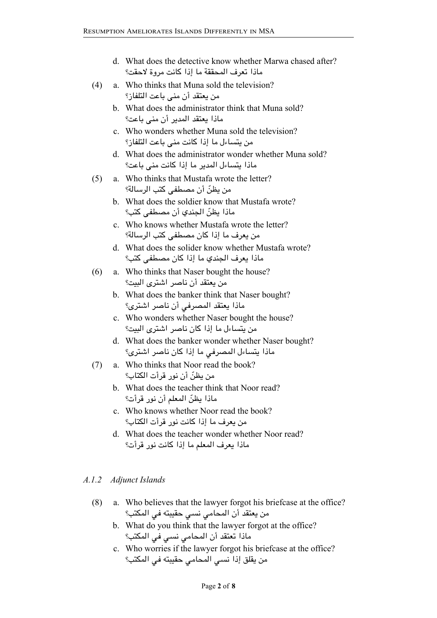- d. What does the detective know whether Marwa chased after? ماذا تعرف المحققة ما إذا كانت مروة لاحقت؟
- (4) a. Who thinks that Muna sold the television? من يعتقد أن منى باعت التلفاز؟
	- b. What does the administrator think that Muna sold? ماذا يعتقد المدير أن منى باعت؟
	- c. Who wonders whether Muna sold the television? من يتساءل ما إذا كانت منى باعت التلفاز؟
	- d. What does the administrator wonder whether Muna sold? ماذا يتساءل المدير ما إذا كانت منى باعت؟
- (5) a. Who thinks that Mustafa wrote the letter? من بظنّ أن مصطفى كتب الرسالة؟
	- b. What does the soldier know that Mustafa wrote? ماذا يظنّ الجندي أن مصطفى كتب؟
	- c. Who knows whether Mustafa wrote the letter? من يعرف ما إذا كان مصطفى كتب الرسالة؟
	- d. What does the solider know whether Mustafa wrote? ماذا يعرف الجندي ما إذا كان مصطفى كتب؟
- (6) a. Who thinks that Naser bought the house? من يعتقد أن ناصر اشتري البيت؟
	- b. What does the banker think that Naser bought? ماذا يعتقد المصرفي أن ناصر اشتري؟
	- c. Who wonders whether Naser bought the house? من بتساءل ما إذا كان ناصر اشترى البيت؟
	- d. What does the banker wonder whether Naser bought? ماذا يتساءل المصرفى ما إذا كان ناصر اشترى؟
- (7) a. Who thinks that Noor read the book? من بظنّ أن نور قرأت الكتاب؟
	- b. What does the teacher think that Noor read? ماذا يظنّ المعلم أن نور قرأت؟
	- c. Who knows whether Noor read the book? من بعرف ما إذا كانت نور قرأت الكتاب؟
	- d. What does the teacher wonder whether Noor read? ماذا يعرف المعلم ما إذا كانت نور قرأت؟

# *A.1.2 Adjunct Islands*

- (8) a. Who believes that the lawyer forgot his briefcase at the office? من يعتقد أن المحامى نسى حقيبته فى المكتب؟
	- b. What do you think that the lawyer forgot at the office? ماذا تعتقد أن المحامی نسی فی المكتب؟
	- c. Who worries if the lawyer forgot his briefcase at the office? من يقلق إذا نسى المحامى حقيبته في المكتب؟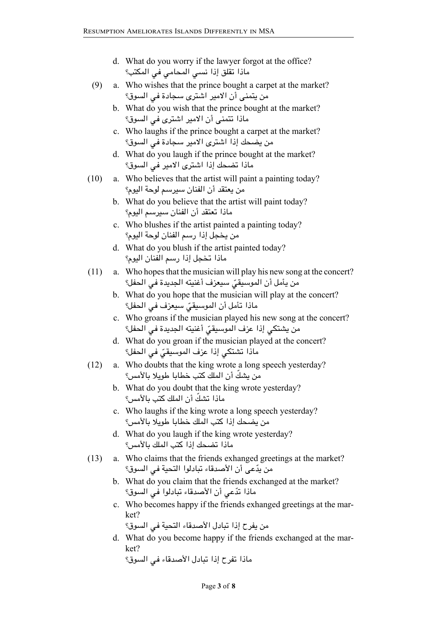- d. What do you worry if the lawyer forgot at the office? ماذا تقلق إذا نسى المحامى فى المكتب؟
- (9) a. Who wishes that the prince bought a carpet at the market? من يتمنى أن الامير اشترى سجادة فى السوق؟
	- b. What do you wish that the prince bought at the market? ماذا تتمنى أن الامير اشترى فى السوق؟
	- c. Who laughs if the prince bought a carpet at the market? من يضحك إذا اشترى الامير سجادة في السوق؟
	- d. What do you laugh if the prince bought at the market? ماذا تضحك إذا اشترى الامير في السوق؟
- (10) a. Who believes that the artist will paint a painting today? من يعتقد أن الفنان سيرسم لوحة اليوم؟
	- b. What do you believe that the artist will paint today? ماذا تعتقد أن الفنان سيرسم اليوم؟
	- c. Who blushes if the artist painted a painting today? من يخجل إذا رسم الفنان لوحة اليوم؟
	- d. What do you blush if the artist painted today? ماذا تخجل إذا رسم الفنان اليوم؟
- (11) a. Who hopes that the musician will play his new song at the concert? من يأمل أن الموسيقيّ سيعزف أغنيته الجديدة في الحفل؟
	- b. What do you hope that the musician will play at the concert? ماذا تأمل أن الموسيقيّ سيعزف في الحفل؟
	- c. Who groans if the musician played his new song at the concert? من يشتكي إذا عزف الموسيقيّ أغنيته الجديدة في الحفل؟
	- d. What do you groan if the musician played at the concert? ماذا تشتكى إذا عزف الموسيقىّ في الحفل؟
- (12) a. Who doubts that the king wrote a long speech yesterday? من بشكّ أن الملك كتب خطابا طويلا بالأمس؟
	- b. What do you doubt that the king wrote yesterday? ماذا تشكّ أن الملك كتب بالأمس؟
	- c. Who laughs if the king wrote a long speech yesterday? من بضبحك إذا كتب الملك خطابا طويلا بالأمس؟
	- d. What do you laugh if the king wrote yesterday? ماذا تضحك إذا كتب الملك بالأمس؟
- (13) a. Who claims that the friends exhanged greetings at the market? من يدّعي أن الأصدقاء تبادلوا التحية في السوق؟
	- b. What do you claim that the friends exchanged at the market? ماذا تدّعى أن الأصدقاء تبادلوا فى السوق؟
	- c. Who becomes happy if the friends exhanged greetings at the market?
		- من يفرح إذا تبادل الأصدقاء التحية في السوق؟
	- d. What do you become happy if the friends exchanged at the market? ماذا تفرح إذا تبادل الأصدقاء في السوق؟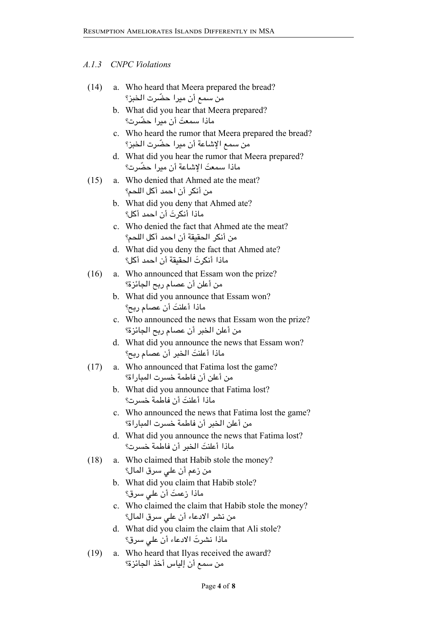# *A.1.3 CNPC Violations*

- (14) a. Who heard that Meera prepared the bread? من سمع أن ميرا حضّرت الخبز؟
	- b. What did you hear that Meera prepared? ماذا سمعتَ أن ميرا حضّرت؟
	- c. Who heard the rumor that Meera prepared the bread? من سمع الإشاعة أن ميرا حضّرت الخبز؟
	- d. What did you hear the rumor that Meera prepared? ماذا سمعتَ الإشاعة أن ميرا حضّرت؟
- (15) a. Who denied that Ahmed ate the meat? من أنكر أن احمد أكل اللحم؟
	- b. What did you deny that Ahmed ate? ماذا أنكرتَ أن احمد أكل؟
	- c. Who denied the fact that Ahmed ate the meat? من أنكر الحقيقة أن احمد أكل اللحم؟
	- d. What did you deny the fact that Ahmed ate? ماذا أنكرتَ الحقيقة أن احمد أكل؟
- (16) a. Who announced that Essam won the prize? من أعلن أن عصام ربح الجائزة؟
	- b. What did you announce that Essam won? ماذا أعلنتَ أن عصام ربح؟
	- c. Who announced the news that Essam won the prize? من أعلن الخبر أن عصام ربح الجائزة؟
	- d. What did you announce the news that Essam won? ماذا أعلنتَ الخبر أن عصام ربح؟
- (17) a. Who announced that Fatima lost the game? من أعلن أن فاطمة خسرت المباراة؟
	- b. What did you announce that Fatima lost? ماذا أعلنتَ أن فاطمة خسرت؟
	- c. Who announced the news that Fatima lost the game? من أعلن الخبر أن فاطمة خسرت المباراة؟
	- d. What did you announce the news that Fatima lost? ماذا أعلنتَ الخبر أن فاطمة خسرت؟
- (18) a. Who claimed that Habib stole the money? من زعم أن على سرق المال؟
	- b. What did you claim that Habib stole? ماذا زعمتَ أن عل*ى* سرق؟
	- c. Who claimed the claim that Habib stole the money? من نشر الادعاء أن على سرق المال؟
	- d. What did you claim the claim that Ali stole? ماذا نشرتَ الادعاء أن على سرق؟
- (19) a. Who heard that Ilyas received the award? من سمع أن إلياس أخذ الجائزة؟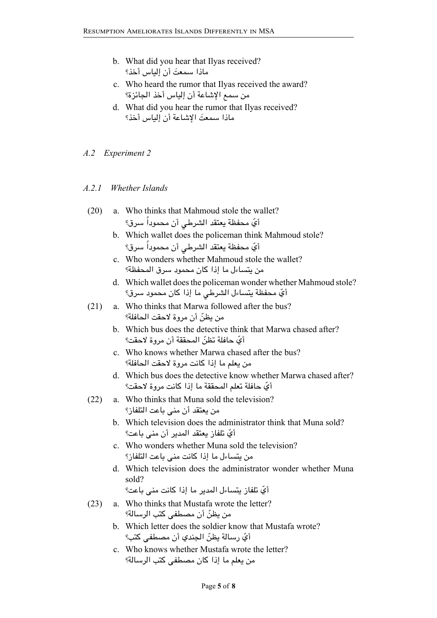- b. What did you hear that Ilyas received? ماذا سمعتَ أن إلياس أخذ؟
- c. Who heard the rumor that Ilyas received the award? من سمع الإشاعة أن إلياس أخذ الجائزة؟
- d. What did you hear the rumor that Ilyas received? ماذا سمعتَ الإشاعةِ أن إلياس أخذ؟

# *A.2 Experiment 2*

# *A.2.1 Whether Islands*

- (20) a. Who thinks that Mahmoud stole the wallet? أيّ محفظة ي**ع**تقد الشرطي أن محموداً سرق؟
	- b. Which wallet does the policeman think Mahmoud stole? أيّ محفظة يعتقد الشرطي أن محموداً سرق؟
	- c. Who wonders whether Mahmoud stole the wallet? من يتساءل ما إذا كان محمود سرق المحفظة؟
	- d. Which wallet does the policeman wonder whether Mahmoud stole? أيّ محفظة يتساءل الشرطي ما إذا كان محمود سرق؟
- (21) a. Who thinks that Marwa followed after the bus? من بظنّ أن مروة لاحقت الحافلة؟
	- b. Which bus does the detective think that Marwa chased after? أيّ حافلة تظنّ المحققة أن مروة لاحقت؟
	- c. Who knows whether Marwa chased after the bus? من يعلم ما إذا كانت مروة لاحقت الحافلة؟
	- d. Which bus does the detective know whether Marwa chased after? أيّ حافلة تعلم المحققة ما إذا كانت مروة لاحقت؟
- (22) a. Who thinks that Muna sold the television? من يعتقد أن مني باعت التلفاز؟
	- b. Which television does the administrator think that Muna sold? أيّ تلفاز يعتقد المدير أن مني باعت؟
	- c. Who wonders whether Muna sold the television? من يتساءل ما إذا كانت منى باعت التلفاز؟
	- d. Which television does the administrator wonder whether Muna sold?

اّيّ تلفاز يتساءل المدير ما إذا كانت منى باعت؟

- (23) a. Who thinks that Mustafa wrote the letter? من يظنّ أن مصطفى كتب الرسالة؟
	- b. Which letter does the soldier know that Mustafa wrote? أيٌّ رسالة يظنّ الجندي أن مصطفى كتب؟
	- c. Who knows whether Mustafa wrote the letter? من يعلم ما إذا كان مصطفى كتب الرسالة؟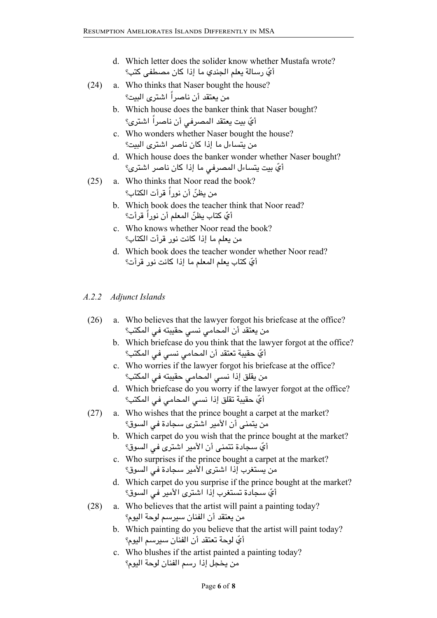- d. Which letter does the solider know whether Mustafa wrote? اّيٌ رسالة يعلم الجندي ما إذا كان مصطفى كتب؟
- (24) a. Who thinks that Naser bought the house? من يعتقد أن ناصراً اشترى البيت؟
	- b. Which house does the banker think that Naser bought? أيّ بيت يعتقد المصرفي أن ناصراً اشتري؟
	- c. Who wonders whether Naser bought the house? من يتساءل ما إذا كان ناصر اشترى البيت؟
	- d. Which house does the banker wonder whether Naser bought? أيٌّ بيت يتساءل المصرفي ما إذا كان ناصر اشترى؟
- (25) a. Who thinks that Noor read the book? من يظنّ أن نوراً قرأت الكتاب؟
	- b. Which book does the teacher think that Noor read? أيّ كتاب بظنّ المعلم أن نوراً قرأت؟
	- c. Who knows whether Noor read the book? من يعلم ما إذا كانت نور قرأت الكتاب؟
	- d. Which book does the teacher wonder whether Noor read? أيّ كتاب يعلم المعلم ما إذا كانت نور قرأت؟

# *A.2.2 Adjunct Islands*

- (26) a. Who believes that the lawyer forgot his briefcase at the office? من يعتقد أن المحامى نسى حقيبته فى المكتب؟
	- b. Which briefcase do you think that the lawyer forgot at the office? أيٌّ حقيبة تعتقد أن المحامي نسى في المكتب؟
	- c. Who worries if the lawyer forgot his briefcase at the office? من يقلق إذا نسى المحامى حقيبته فى المكتب؟
	- d. Which briefcase do you worry if the lawyer forgot at the office? أيّ حقيبة تقلق إذا نسى المحامى في المكتب؟
- (27) a. Who wishes that the prince bought a carpet at the market? من يتمنى أن الأمير اشترى سجادة فى السوق؟
	- b. Which carpet do you wish that the prince bought at the market? أيٌّ سجادة تتمنى أن الأمير اشترى في السوق؟
	- c. Who surprises if the prince bought a carpet at the market? من يستغرب إذا اشترى الأمير سجادة في السوق؟
	- d. Which carpet do you surprise if the prince bought at the market? أيّ سجادة تستغرب إذا اشترى الأمير في السوق؟
- (28) a. Who believes that the artist will paint a painting today? من يعتقد أن الفنان سيرسم لوحة اليوم؟
	- b. Which painting do you believe that the artist will paint today? أيّ لوحة تعتقد أن الفنان سيرسم اليوم؟
	- c. Who blushes if the artist painted a painting today? من يخجل إذا رسم الفنان لوحة اليوم؟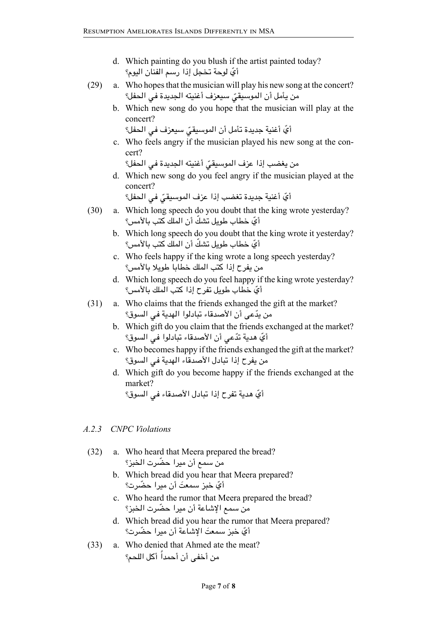- d. Which painting do you blush if the artist painted today? أيّ لوحة تخجل إذا رسم الفنان اليوم؟
- (29) a. Who hopes that the musician will play his new song at the concert? من يأمل أن الموسيقيّ سيعزف أغنيته الجديدة في الحفل؟
	- b. Which new song do you hope that the musician will play at the concert?

أيٌّ أغنية جديدة تأمل أن الموسيقيّ سيعزف ف*ي* الحفل؟

c. Who feels angry if the musician played his new song at the concert?

من يغضب إذا عزف الموسيقيّ أغنيته الجديدة في الحفل؟

d. Which new song do you feel angry if the musician played at the concert?

أيٌّ أغنية جديدة تغضب إذا عزف الموسيقيّ في الحفل؟

- (30) a. Which long speech do you doubt that the king wrote yesterday? أيّ خطاب طويل تشكّ أن الملك كتب بالأمس؟
	- b. Which long speech do you doubt that the king wrote it yesterday? أيّ خطاب طويل تشكّ أن الملك كتب بالأمس؟
	- c. Who feels happy if the king wrote a long speech yesterday? من يفرح إذا كتب الملك خطابا طويلا بالأمس؟
	- d. Which long speech do you feel happy if the king wrote yesterday? أيّ خطاب طويل تفرح إذا كتب الملك بالأمس؟
- (31) a. Who claims that the friends exhanged the gift at the market? من يدّعي أن الأصدقاء تبادلوا الهدية في السوق؟
	- b. Which gift do you claim that the friends exchanged at the market? أيّ هدية تدّعى أن الأصدقاء تبادلوا في السوق؟
	- c. Who becomes happy if the friends exhanged the gift at the market? من يفرح إذا تبادل الأصدقاء الهدية في السوق؟
	- d. Which gift do you become happy if the friends exchanged at the market? أيّ هدية تفرح إذا تبادل الأصدقاء في السوق؟

# *A.2.3 CNPC Violations*

- (32) a. Who heard that Meera prepared the bread? من سمع أن ميرا حضّرت الخبز؟
	- b. Which bread did you hear that Meera prepared? أيٌّ خَبزٍ سمعتَ أن ميرا حضَّرت؟
	- c. Who heard the rumor that Meera prepared the bread? من سمع الإشاعة أن ميرا حضّرت الخبز؟
	- d. Which bread did you hear the rumor that Meera prepared? اًيٌّ خبز سمعتَ الإشاعة أن ميرا حضّرت؟
- (33) a. Who denied that Ahmed ate the meat? من أخفى أن أحمداً أكل اللحم؟